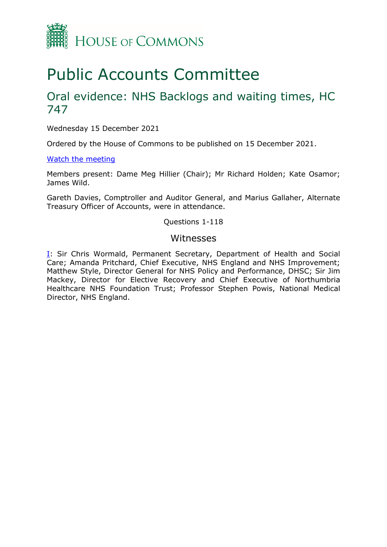

# Public Accounts Committee

## Oral evidence: NHS Backlogs and waiting times, HC 747

Wednesday 15 December 2021

Ordered by the House of Commons to be published on 15 December 2021.

## [Watch the meeting](https://parliamentlive.tv/Event/Index/d3df6152-1204-480e-affe-46acb16f9c96)

Members present: Dame Meg Hillier (Chair); Mr Richard Holden; Kate Osamor; James Wild.

Gareth Davies, Comptroller and Auditor General, and Marius Gallaher, Alternate Treasury Officer of Accounts, were in attendance.

#### Questions 1-118

## Witnesses

[I:](#page-1-0) Sir Chris Wormald, Permanent Secretary, Department of Health and Social Care; Amanda Pritchard, Chief Executive, NHS England and NHS Improvement; Matthew Style, Director General for NHS Policy and Performance, DHSC; Sir Jim Mackey, Director for Elective Recovery and Chief Executive of Northumbria Healthcare NHS Foundation Trust; Professor Stephen Powis, National Medical Director, NHS England.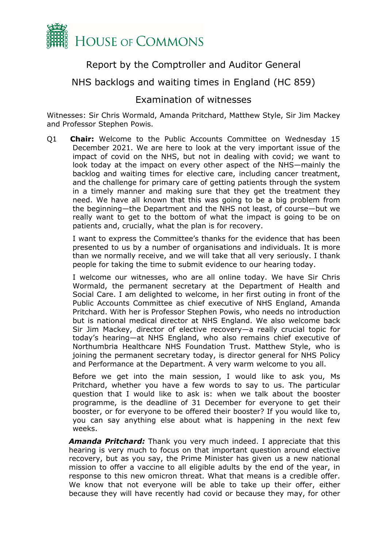

## Report by the Comptroller and Auditor General

## NHS backlogs and waiting times in England (HC 859)

## Examination of witnesses

<span id="page-1-0"></span>Witnesses: Sir Chris Wormald, Amanda Pritchard, Matthew Style, Sir Jim Mackey and Professor Stephen Powis.

Q1 **Chair:** Welcome to the Public Accounts Committee on Wednesday 15 December 2021. We are here to look at the very important issue of the impact of covid on the NHS, but not in dealing with covid; we want to look today at the impact on every other aspect of the NHS—mainly the backlog and waiting times for elective care, including cancer treatment, and the challenge for primary care of getting patients through the system in a timely manner and making sure that they get the treatment they need. We have all known that this was going to be a big problem from the beginning—the Department and the NHS not least, of course—but we really want to get to the bottom of what the impact is going to be on patients and, crucially, what the plan is for recovery.

I want to express the Committee's thanks for the evidence that has been presented to us by a number of organisations and individuals. It is more than we normally receive, and we will take that all very seriously. I thank people for taking the time to submit evidence to our hearing today.

I welcome our witnesses, who are all online today. We have Sir Chris Wormald, the permanent secretary at the Department of Health and Social Care. I am delighted to welcome, in her first outing in front of the Public Accounts Committee as chief executive of NHS England, Amanda Pritchard. With her is Professor Stephen Powis, who needs no introduction but is national medical director at NHS England. We also welcome back Sir Jim Mackey, director of elective recovery—a really crucial topic for today's hearing—at NHS England, who also remains chief executive of Northumbria Healthcare NHS Foundation Trust. Matthew Style, who is joining the permanent secretary today, is director general for NHS Policy and Performance at the Department. A very warm welcome to you all.

Before we get into the main session, I would like to ask you, Ms Pritchard, whether you have a few words to say to us. The particular question that I would like to ask is: when we talk about the booster programme, is the deadline of 31 December for everyone to get their booster, or for everyone to be offered their booster? If you would like to, you can say anything else about what is happening in the next few weeks.

*Amanda Pritchard:* Thank you very much indeed. I appreciate that this hearing is very much to focus on that important question around elective recovery, but as you say, the Prime Minister has given us a new national mission to offer a vaccine to all eligible adults by the end of the year, in response to this new omicron threat. What that means is a credible offer. We know that not everyone will be able to take up their offer, either because they will have recently had covid or because they may, for other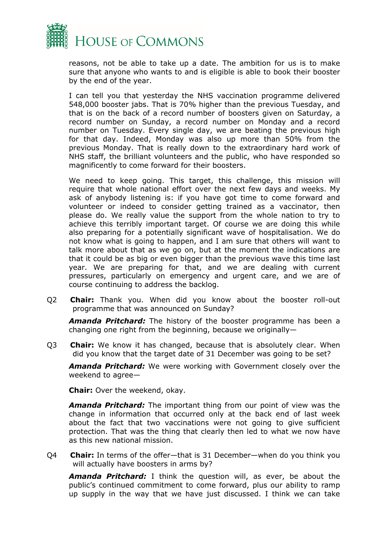

reasons, not be able to take up a date. The ambition for us is to make sure that anyone who wants to and is eligible is able to book their booster by the end of the year.

I can tell you that yesterday the NHS vaccination programme delivered 548,000 booster jabs. That is 70% higher than the previous Tuesday, and that is on the back of a record number of boosters given on Saturday, a record number on Sunday, a record number on Monday and a record number on Tuesday. Every single day, we are beating the previous high for that day. Indeed, Monday was also up more than 50% from the previous Monday. That is really down to the extraordinary hard work of NHS staff, the brilliant volunteers and the public, who have responded so magnificently to come forward for their boosters.

We need to keep going. This target, this challenge, this mission will require that whole national effort over the next few days and weeks. My ask of anybody listening is: if you have got time to come forward and volunteer or indeed to consider getting trained as a vaccinator, then please do. We really value the support from the whole nation to try to achieve this terribly important target. Of course we are doing this while also preparing for a potentially significant wave of hospitalisation. We do not know what is going to happen, and I am sure that others will want to talk more about that as we go on, but at the moment the indications are that it could be as big or even bigger than the previous wave this time last year. We are preparing for that, and we are dealing with current pressures, particularly on emergency and urgent care, and we are of course continuing to address the backlog.

Q2 **Chair:** Thank you. When did you know about the booster roll-out programme that was announced on Sunday?

*Amanda Pritchard:* The history of the booster programme has been a changing one right from the beginning, because we originally—

Q3 **Chair:** We know it has changed, because that is absolutely clear. When did you know that the target date of 31 December was going to be set?

*Amanda Pritchard:* We were working with Government closely over the weekend to agree—

**Chair:** Over the weekend, okay.

*Amanda Pritchard:* The important thing from our point of view was the change in information that occurred only at the back end of last week about the fact that two vaccinations were not going to give sufficient protection. That was the thing that clearly then led to what we now have as this new national mission.

Q4 **Chair:** In terms of the offer—that is 31 December—when do you think you will actually have boosters in arms by?

*Amanda Pritchard:* I think the question will, as ever, be about the public's continued commitment to come forward, plus our ability to ramp up supply in the way that we have just discussed. I think we can take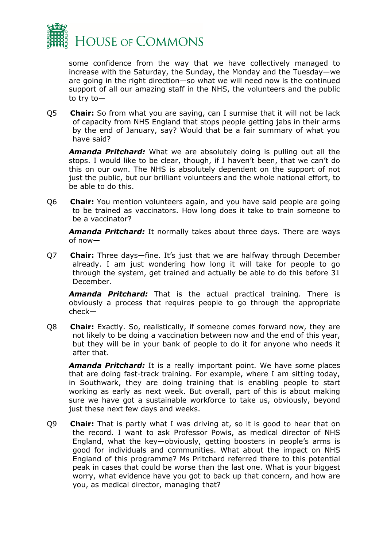

some confidence from the way that we have collectively managed to increase with the Saturday, the Sunday, the Monday and the Tuesday—we are going in the right direction—so what we will need now is the continued support of all our amazing staff in the NHS, the volunteers and the public to try to—

Q5 **Chair:** So from what you are saying, can I surmise that it will not be lack of capacity from NHS England that stops people getting jabs in their arms by the end of January, say? Would that be a fair summary of what you have said?

*Amanda Pritchard:* What we are absolutely doing is pulling out all the stops. I would like to be clear, though, if I haven't been, that we can't do this on our own. The NHS is absolutely dependent on the support of not just the public, but our brilliant volunteers and the whole national effort, to be able to do this.

Q6 **Chair:** You mention volunteers again, and you have said people are going to be trained as vaccinators. How long does it take to train someone to be a vaccinator?

*Amanda Pritchard:* It normally takes about three days. There are ways of now—

Q7 **Chair:** Three days—fine. It's just that we are halfway through December already. I am just wondering how long it will take for people to go through the system, get trained and actually be able to do this before 31 December.

*Amanda Pritchard:* That is the actual practical training. There is obviously a process that requires people to go through the appropriate check—

Q8 **Chair:** Exactly. So, realistically, if someone comes forward now, they are not likely to be doing a vaccination between now and the end of this year, but they will be in your bank of people to do it for anyone who needs it after that.

*Amanda Pritchard:* It is a really important point. We have some places that are doing fast-track training. For example, where I am sitting today, in Southwark, they are doing training that is enabling people to start working as early as next week. But overall, part of this is about making sure we have got a sustainable workforce to take us, obviously, beyond just these next few days and weeks.

Q9 **Chair:** That is partly what I was driving at, so it is good to hear that on the record. I want to ask Professor Powis, as medical director of NHS England, what the key—obviously, getting boosters in people's arms is good for individuals and communities. What about the impact on NHS England of this programme? Ms Pritchard referred there to this potential peak in cases that could be worse than the last one. What is your biggest worry, what evidence have you got to back up that concern, and how are you, as medical director, managing that?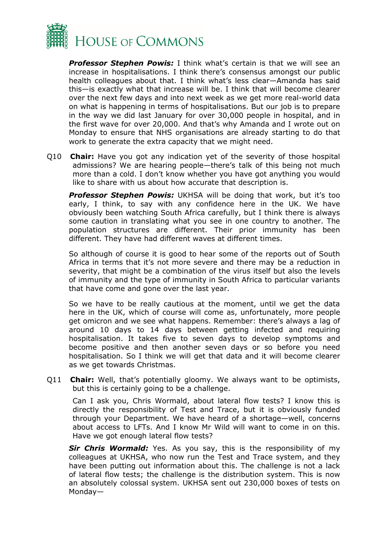

**Professor Stephen Powis:** I think what's certain is that we will see an increase in hospitalisations. I think there's consensus amongst our public health colleagues about that. I think what's less clear—Amanda has said this—is exactly what that increase will be. I think that will become clearer over the next few days and into next week as we get more real-world data on what is happening in terms of hospitalisations. But our job is to prepare in the way we did last January for over 30,000 people in hospital, and in the first wave for over 20,000. And that's why Amanda and I wrote out on Monday to ensure that NHS organisations are already starting to do that work to generate the extra capacity that we might need.

Q10 **Chair:** Have you got any indication yet of the severity of those hospital admissions? We are hearing people—there's talk of this being not much more than a cold. I don't know whether you have got anything you would like to share with us about how accurate that description is.

**Professor Stephen Powis:** UKHSA will be doing that work, but it's too early, I think, to say with any confidence here in the UK. We have obviously been watching South Africa carefully, but I think there is always some caution in translating what you see in one country to another. The population structures are different. Their prior immunity has been different. They have had different waves at different times.

So although of course it is good to hear some of the reports out of South Africa in terms that it's not more severe and there may be a reduction in severity, that might be a combination of the virus itself but also the levels of immunity and the type of immunity in South Africa to particular variants that have come and gone over the last year.

So we have to be really cautious at the moment, until we get the data here in the UK, which of course will come as, unfortunately, more people get omicron and we see what happens. Remember: there's always a lag of around 10 days to 14 days between getting infected and requiring hospitalisation. It takes five to seven days to develop symptoms and become positive and then another seven days or so before you need hospitalisation. So I think we will get that data and it will become clearer as we get towards Christmas.

Q11 **Chair:** Well, that's potentially gloomy. We always want to be optimists, but this is certainly going to be a challenge.

Can I ask you, Chris Wormald, about lateral flow tests? I know this is directly the responsibility of Test and Trace, but it is obviously funded through your Department. We have heard of a shortage—well, concerns about access to LFTs. And I know Mr Wild will want to come in on this. Have we got enough lateral flow tests?

**Sir Chris Wormald:** Yes. As you say, this is the responsibility of my colleagues at UKHSA, who now run the Test and Trace system, and they have been putting out information about this. The challenge is not a lack of lateral flow tests; the challenge is the distribution system. This is now an absolutely colossal system. UKHSA sent out 230,000 boxes of tests on Monday—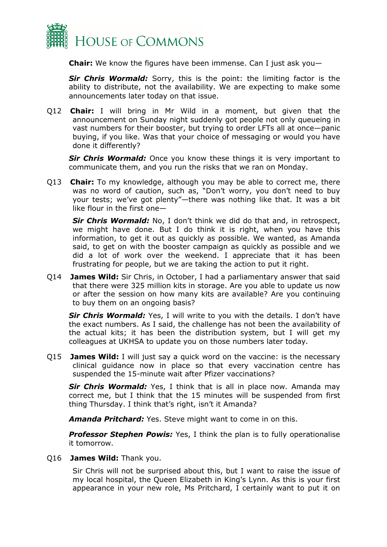

**Chair:** We know the figures have been immense. Can I just ask you—

**Sir Chris Wormald:** Sorry, this is the point: the limiting factor is the ability to distribute, not the availability. We are expecting to make some announcements later today on that issue.

Q12 **Chair:** I will bring in Mr Wild in a moment, but given that the announcement on Sunday night suddenly got people not only queueing in vast numbers for their booster, but trying to order LFTs all at once—panic buying, if you like. Was that your choice of messaging or would you have done it differently?

**Sir Chris Wormald:** Once you know these things it is very important to communicate them, and you run the risks that we ran on Monday.

Q13 **Chair:** To my knowledge, although you may be able to correct me, there was no word of caution, such as, "Don't worry, you don't need to buy your tests; we've got plenty"—there was nothing like that. It was a bit like flour in the first one—

*Sir Chris Wormald:* No, I don't think we did do that and, in retrospect, we might have done. But I do think it is right, when you have this information, to get it out as quickly as possible. We wanted, as Amanda said, to get on with the booster campaign as quickly as possible and we did a lot of work over the weekend. I appreciate that it has been frustrating for people, but we are taking the action to put it right.

Q14 **James Wild:** Sir Chris, in October, I had a parliamentary answer that said that there were 325 million kits in storage. Are you able to update us now or after the session on how many kits are available? Are you continuing to buy them on an ongoing basis?

**Sir Chris Wormald:** Yes, I will write to you with the details. I don't have the exact numbers. As I said, the challenge has not been the availability of the actual kits; it has been the distribution system, but I will get my colleagues at UKHSA to update you on those numbers later today.

Q15 **James Wild:** I will just say a quick word on the vaccine: is the necessary clinical guidance now in place so that every vaccination centre has suspended the 15-minute wait after Pfizer vaccinations?

Sir Chris Wormald: Yes, I think that is all in place now. Amanda may correct me, but I think that the 15 minutes will be suspended from first thing Thursday. I think that's right, isn't it Amanda?

*Amanda Pritchard:* Yes. Steve might want to come in on this.

**Professor Stephen Powis:** Yes, I think the plan is to fully operationalise it tomorrow.

## Q16 **James Wild:** Thank you.

Sir Chris will not be surprised about this, but I want to raise the issue of my local hospital, the Queen Elizabeth in King's Lynn. As this is your first appearance in your new role, Ms Pritchard, I certainly want to put it on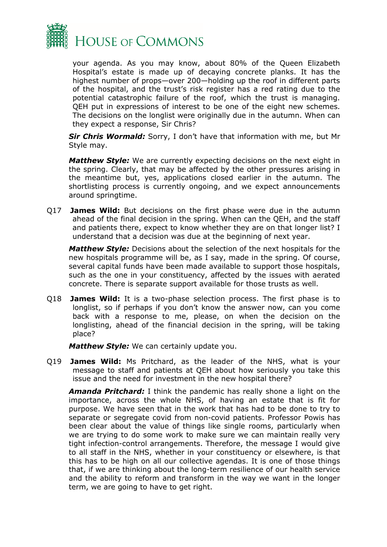

your agenda. As you may know, about 80% of the Queen Elizabeth Hospital's estate is made up of decaying concrete planks. It has the highest number of props—over 200—holding up the roof in different parts of the hospital, and the trust's risk register has a red rating due to the potential catastrophic failure of the roof, which the trust is managing. QEH put in expressions of interest to be one of the eight new schemes. The decisions on the longlist were originally due in the autumn. When can they expect a response, Sir Chris?

*Sir Chris Wormald:* Sorry, I don't have that information with me, but Mr Style may.

*Matthew Style:* We are currently expecting decisions on the next eight in the spring. Clearly, that may be affected by the other pressures arising in the meantime but, yes, applications closed earlier in the autumn. The shortlisting process is currently ongoing, and we expect announcements around springtime.

Q17 **James Wild:** But decisions on the first phase were due in the autumn ahead of the final decision in the spring. When can the QEH, and the staff and patients there, expect to know whether they are on that longer list? I understand that a decision was due at the beginning of next year.

*Matthew Style:* Decisions about the selection of the next hospitals for the new hospitals programme will be, as I say, made in the spring. Of course, several capital funds have been made available to support those hospitals, such as the one in your constituency, affected by the issues with aerated concrete. There is separate support available for those trusts as well.

Q18 **James Wild:** It is a two-phase selection process. The first phase is to longlist, so if perhaps if you don't know the answer now, can you come back with a response to me, please, on when the decision on the longlisting, ahead of the financial decision in the spring, will be taking place?

*Matthew Style:* We can certainly update you.

Q19 **James Wild:** Ms Pritchard, as the leader of the NHS, what is your message to staff and patients at QEH about how seriously you take this issue and the need for investment in the new hospital there?

*Amanda Pritchard:* I think the pandemic has really shone a light on the importance, across the whole NHS, of having an estate that is fit for purpose. We have seen that in the work that has had to be done to try to separate or segregate covid from non-covid patients. Professor Powis has been clear about the value of things like single rooms, particularly when we are trying to do some work to make sure we can maintain really very tight infection-control arrangements. Therefore, the message I would give to all staff in the NHS, whether in your constituency or elsewhere, is that this has to be high on all our collective agendas. It is one of those things that, if we are thinking about the long-term resilience of our health service and the ability to reform and transform in the way we want in the longer term, we are going to have to get right.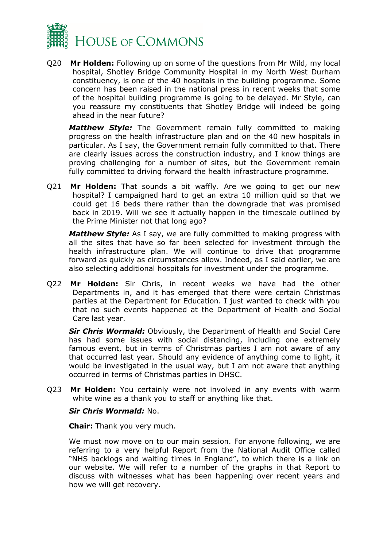

Q20 **Mr Holden:** Following up on some of the questions from Mr Wild, my local hospital, Shotley Bridge Community Hospital in my North West Durham constituency, is one of the 40 hospitals in the building programme. Some concern has been raised in the national press in recent weeks that some of the hospital building programme is going to be delayed. Mr Style, can you reassure my constituents that Shotley Bridge will indeed be going ahead in the near future?

*Matthew Style:* The Government remain fully committed to making progress on the health infrastructure plan and on the 40 new hospitals in particular. As I say, the Government remain fully committed to that. There are clearly issues across the construction industry, and I know things are proving challenging for a number of sites, but the Government remain fully committed to driving forward the health infrastructure programme.

Q21 **Mr Holden:** That sounds a bit waffly. Are we going to get our new hospital? I campaigned hard to get an extra 10 million quid so that we could get 16 beds there rather than the downgrade that was promised back in 2019. Will we see it actually happen in the timescale outlined by the Prime Minister not that long ago?

*Matthew Style:* As I say, we are fully committed to making progress with all the sites that have so far been selected for investment through the health infrastructure plan. We will continue to drive that programme forward as quickly as circumstances allow. Indeed, as I said earlier, we are also selecting additional hospitals for investment under the programme.

Q22 **Mr Holden:** Sir Chris, in recent weeks we have had the other Departments in, and it has emerged that there were certain Christmas parties at the Department for Education. I just wanted to check with you that no such events happened at the Department of Health and Social Care last year.

*Sir Chris Wormald:* Obviously, the Department of Health and Social Care has had some issues with social distancing, including one extremely famous event, but in terms of Christmas parties I am not aware of any that occurred last year. Should any evidence of anything come to light, it would be investigated in the usual way, but I am not aware that anything occurred in terms of Christmas parties in DHSC.

Q23 **Mr Holden:** You certainly were not involved in any events with warm white wine as a thank you to staff or anything like that.

## *Sir Chris Wormald:* No.

**Chair:** Thank you very much.

We must now move on to our main session. For anyone following, we are referring to a very helpful Report from the National Audit Office called "NHS backlogs and waiting times in England", to which there is a link on our website. We will refer to a number of the graphs in that Report to discuss with witnesses what has been happening over recent years and how we will get recovery.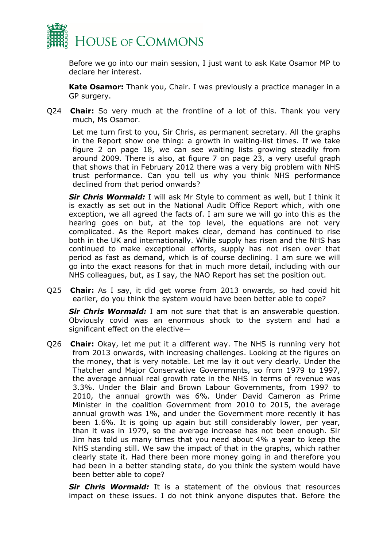

Before we go into our main session, I just want to ask Kate Osamor MP to declare her interest.

**Kate Osamor:** Thank you, Chair. I was previously a practice manager in a GP surgery.

Q24 **Chair:** So very much at the frontline of a lot of this. Thank you very much, Ms Osamor.

Let me turn first to you, Sir Chris, as permanent secretary. All the graphs in the Report show one thing: a growth in waiting-list times. If we take figure 2 on page 18, we can see waiting lists growing steadily from around 2009. There is also, at figure 7 on page 23, a very useful graph that shows that in February 2012 there was a very big problem with NHS trust performance. Can you tell us why you think NHS performance declined from that period onwards?

*Sir Chris Wormald:* I will ask Mr Style to comment as well, but I think it is exactly as set out in the National Audit Office Report which, with one exception, we all agreed the facts of. I am sure we will go into this as the hearing goes on but, at the top level, the equations are not very complicated. As the Report makes clear, demand has continued to rise both in the UK and internationally. While supply has risen and the NHS has continued to make exceptional efforts, supply has not risen over that period as fast as demand, which is of course declining. I am sure we will go into the exact reasons for that in much more detail, including with our NHS colleagues, but, as I say, the NAO Report has set the position out.

Q25 **Chair:** As I say, it did get worse from 2013 onwards, so had covid hit earlier, do you think the system would have been better able to cope?

*Sir Chris Wormald:* I am not sure that that is an answerable question. Obviously covid was an enormous shock to the system and had a significant effect on the elective—

Q26 **Chair:** Okay, let me put it a different way. The NHS is running very hot from 2013 onwards, with increasing challenges. Looking at the figures on the money, that is very notable. Let me lay it out very clearly. Under the Thatcher and Major Conservative Governments, so from 1979 to 1997, the average annual real growth rate in the NHS in terms of revenue was 3.3%. Under the Blair and Brown Labour Governments, from 1997 to 2010, the annual growth was 6%. Under David Cameron as Prime Minister in the coalition Government from 2010 to 2015, the average annual growth was 1%, and under the Government more recently it has been 1.6%. It is going up again but still considerably lower, per year, than it was in 1979, so the average increase has not been enough. Sir Jim has told us many times that you need about 4% a year to keep the NHS standing still. We saw the impact of that in the graphs, which rather clearly state it. Had there been more money going in and therefore you had been in a better standing state, do you think the system would have been better able to cope?

*Sir Chris Wormald:* It is a statement of the obvious that resources impact on these issues. I do not think anyone disputes that. Before the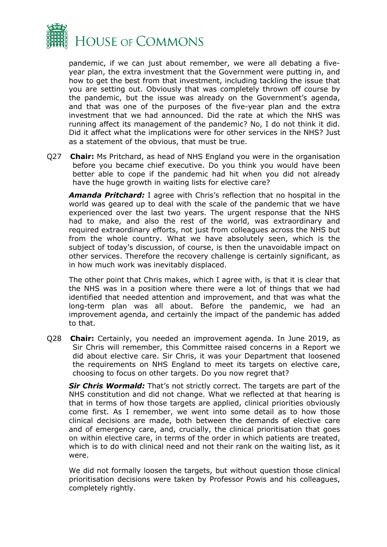

pandemic, if we can just about remember, we were all debating a fiveyear plan, the extra investment that the Government were putting in, and how to get the best from that investment, including tackling the issue that you are setting out. Obviously that was completely thrown off course by the pandemic, but the issue was already on the Government's agenda, and that was one of the purposes of the five-year plan and the extra investment that we had announced. Did the rate at which the NHS was running affect its management of the pandemic? No, I do not think it did. Did it affect what the implications were for other services in the NHS? Just as a statement of the obvious, that must be true.

Q27 **Chair:** Ms Pritchard, as head of NHS England you were in the organisation before you became chief executive. Do you think you would have been better able to cope if the pandemic had hit when you did not already have the huge growth in waiting lists for elective care?

*Amanda Pritchard:* I agree with Chris's reflection that no hospital in the world was geared up to deal with the scale of the pandemic that we have experienced over the last two years. The urgent response that the NHS had to make, and also the rest of the world, was extraordinary and required extraordinary efforts, not just from colleagues across the NHS but from the whole country. What we have absolutely seen, which is the subject of today's discussion, of course, is then the unavoidable impact on other services. Therefore the recovery challenge is certainly significant, as in how much work was inevitably displaced.

The other point that Chris makes, which I agree with, is that it is clear that the NHS was in a position where there were a lot of things that we had identified that needed attention and improvement, and that was what the long-term plan was all about. Before the pandemic, we had an improvement agenda, and certainly the impact of the pandemic has added to that.

Q28 **Chair:** Certainly, you needed an improvement agenda. In June 2019, as Sir Chris will remember, this Committee raised concerns in a Report we did about elective care. Sir Chris, it was your Department that loosened the requirements on NHS England to meet its targets on elective care, choosing to focus on other targets. Do you now regret that?

*Sir Chris Wormald:* That's not strictly correct. The targets are part of the NHS constitution and did not change. What we reflected at that hearing is that in terms of how those targets are applied, clinical priorities obviously come first. As I remember, we went into some detail as to how those clinical decisions are made, both between the demands of elective care and of emergency care, and, crucially, the clinical prioritisation that goes on within elective care, in terms of the order in which patients are treated, which is to do with clinical need and not their rank on the waiting list, as it were.

We did not formally loosen the targets, but without question those clinical prioritisation decisions were taken by Professor Powis and his colleagues, completely rightly.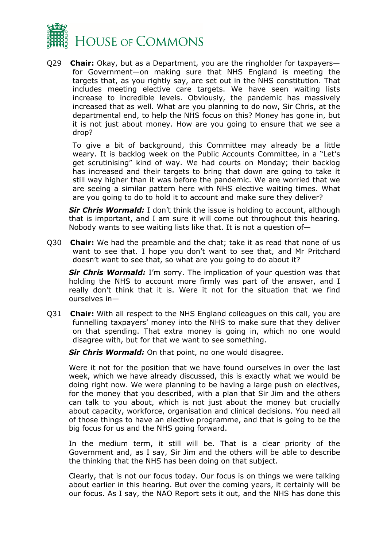

Q29 **Chair:** Okay, but as a Department, you are the ringholder for taxpayers for Government—on making sure that NHS England is meeting the targets that, as you rightly say, are set out in the NHS constitution. That includes meeting elective care targets. We have seen waiting lists increase to incredible levels. Obviously, the pandemic has massively increased that as well. What are you planning to do now, Sir Chris, at the departmental end, to help the NHS focus on this? Money has gone in, but it is not just about money. How are you going to ensure that we see a drop?

To give a bit of background, this Committee may already be a little weary. It is backlog week on the Public Accounts Committee, in a "Let's get scrutinising" kind of way. We had courts on Monday; their backlog has increased and their targets to bring that down are going to take it still way higher than it was before the pandemic. We are worried that we are seeing a similar pattern here with NHS elective waiting times. What are you going to do to hold it to account and make sure they deliver?

**Sir Chris Wormald:** I don't think the issue is holding to account, although that is important, and I am sure it will come out throughout this hearing. Nobody wants to see waiting lists like that. It is not a question of—

Q30 **Chair:** We had the preamble and the chat; take it as read that none of us want to see that. I hope you don't want to see that, and Mr Pritchard doesn't want to see that, so what are you going to do about it?

**Sir Chris Wormald:** I'm sorry. The implication of your question was that holding the NHS to account more firmly was part of the answer, and I really don't think that it is. Were it not for the situation that we find ourselves in—

Q31 **Chair:** With all respect to the NHS England colleagues on this call, you are funnelling taxpayers' money into the NHS to make sure that they deliver on that spending. That extra money is going in, which no one would disagree with, but for that we want to see something.

**Sir Chris Wormald:** On that point, no one would disagree.

Were it not for the position that we have found ourselves in over the last week, which we have already discussed, this is exactly what we would be doing right now. We were planning to be having a large push on electives, for the money that you described, with a plan that Sir Jim and the others can talk to you about, which is not just about the money but crucially about capacity, workforce, organisation and clinical decisions. You need all of those things to have an elective programme, and that is going to be the big focus for us and the NHS going forward.

In the medium term, it still will be. That is a clear priority of the Government and, as I say, Sir Jim and the others will be able to describe the thinking that the NHS has been doing on that subject.

Clearly, that is not our focus today. Our focus is on things we were talking about earlier in this hearing. But over the coming years, it certainly will be our focus. As I say, the NAO Report sets it out, and the NHS has done this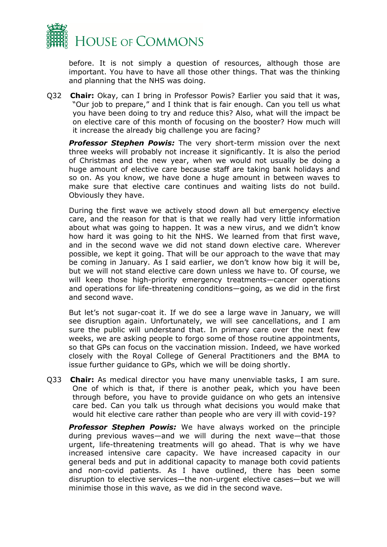

before. It is not simply a question of resources, although those are important. You have to have all those other things. That was the thinking and planning that the NHS was doing.

Q32 **Chair:** Okay, can I bring in Professor Powis? Earlier you said that it was, "Our job to prepare," and I think that is fair enough. Can you tell us what you have been doing to try and reduce this? Also, what will the impact be on elective care of this month of focusing on the booster? How much will it increase the already big challenge you are facing?

**Professor Stephen Powis:** The very short-term mission over the next three weeks will probably not increase it significantly. It is also the period of Christmas and the new year, when we would not usually be doing a huge amount of elective care because staff are taking bank holidays and so on. As you know, we have done a huge amount in between waves to make sure that elective care continues and waiting lists do not build. Obviously they have.

During the first wave we actively stood down all but emergency elective care, and the reason for that is that we really had very little information about what was going to happen. It was a new virus, and we didn't know how hard it was going to hit the NHS. We learned from that first wave, and in the second wave we did not stand down elective care. Wherever possible, we kept it going. That will be our approach to the wave that may be coming in January. As I said earlier, we don't know how big it will be, but we will not stand elective care down unless we have to. Of course, we will keep those high-priority emergency treatments—cancer operations and operations for life-threatening conditions—going, as we did in the first and second wave.

But let's not sugar-coat it. If we do see a large wave in January, we will see disruption again. Unfortunately, we will see cancellations, and I am sure the public will understand that. In primary care over the next few weeks, we are asking people to forgo some of those routine appointments, so that GPs can focus on the vaccination mission. Indeed, we have worked closely with the Royal College of General Practitioners and the BMA to issue further guidance to GPs, which we will be doing shortly.

Q33 **Chair:** As medical director you have many unenviable tasks, I am sure. One of which is that, if there is another peak, which you have been through before, you have to provide guidance on who gets an intensive care bed. Can you talk us through what decisions you would make that would hit elective care rather than people who are very ill with covid-19?

**Professor Stephen Powis:** We have always worked on the principle during previous waves—and we will during the next wave—that those urgent, life-threatening treatments will go ahead. That is why we have increased intensive care capacity. We have increased capacity in our general beds and put in additional capacity to manage both covid patients and non-covid patients. As I have outlined, there has been some disruption to elective services—the non-urgent elective cases—but we will minimise those in this wave, as we did in the second wave.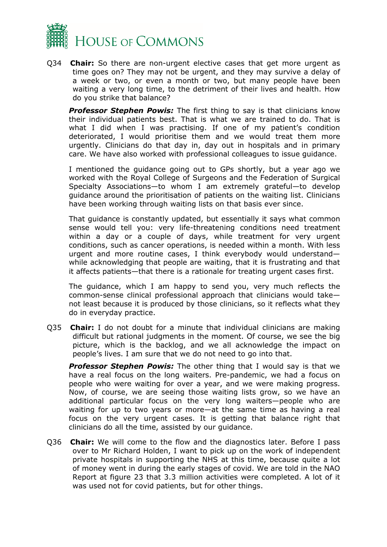

Q34 **Chair:** So there are non-urgent elective cases that get more urgent as time goes on? They may not be urgent, and they may survive a delay of a week or two, or even a month or two, but many people have been waiting a very long time, to the detriment of their lives and health. How do you strike that balance?

**Professor Stephen Powis:** The first thing to say is that clinicians know their individual patients best. That is what we are trained to do. That is what I did when I was practising. If one of my patient's condition deteriorated, I would prioritise them and we would treat them more urgently. Clinicians do that day in, day out in hospitals and in primary care. We have also worked with professional colleagues to issue guidance.

I mentioned the guidance going out to GPs shortly, but a year ago we worked with the Royal College of Surgeons and the Federation of Surgical Specialty Associations—to whom I am extremely grateful—to develop guidance around the prioritisation of patients on the waiting list. Clinicians have been working through waiting lists on that basis ever since.

That guidance is constantly updated, but essentially it says what common sense would tell you: very life-threatening conditions need treatment within a day or a couple of days, while treatment for very urgent conditions, such as cancer operations, is needed within a month. With less urgent and more routine cases, I think everybody would understand while acknowledging that people are waiting, that it is frustrating and that it affects patients—that there is a rationale for treating urgent cases first.

The guidance, which I am happy to send you, very much reflects the common-sense clinical professional approach that clinicians would take not least because it is produced by those clinicians, so it reflects what they do in everyday practice.

Q35 **Chair:** I do not doubt for a minute that individual clinicians are making difficult but rational judgments in the moment. Of course, we see the big picture, which is the backlog, and we all acknowledge the impact on people's lives. I am sure that we do not need to go into that.

*Professor Stephen Powis:* The other thing that I would say is that we have a real focus on the long waiters. Pre-pandemic, we had a focus on people who were waiting for over a year, and we were making progress. Now, of course, we are seeing those waiting lists grow, so we have an additional particular focus on the very long waiters—people who are waiting for up to two years or more—at the same time as having a real focus on the very urgent cases. It is getting that balance right that clinicians do all the time, assisted by our guidance.

Q36 **Chair:** We will come to the flow and the diagnostics later. Before I pass over to Mr Richard Holden, I want to pick up on the work of independent private hospitals in supporting the NHS at this time, because quite a lot of money went in during the early stages of covid. We are told in the NAO Report at figure 23 that 3.3 million activities were completed. A lot of it was used not for covid patients, but for other things.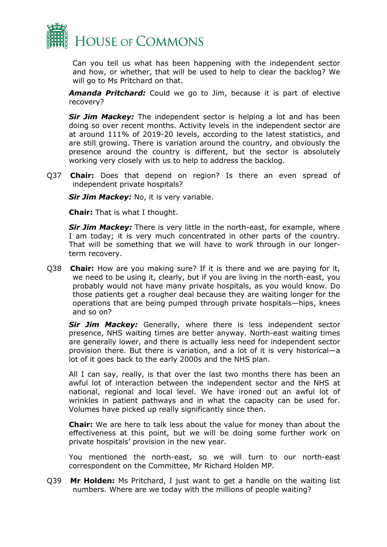

Can you tell us what has been happening with the independent sector and how, or whether, that will be used to help to clear the backlog? We will go to Ms Pritchard on that.

*Amanda Pritchard:* Could we go to Jim, because it is part of elective recovery?

**Sir Jim Mackey:** The independent sector is helping a lot and has been doing so over recent months. Activity levels in the independent sector are at around 111% of 2019-20 levels, according to the latest statistics, and are still growing. There is variation around the country, and obviously the presence around the country is different, but the sector is absolutely working very closely with us to help to address the backlog.

Q37 **Chair:** Does that depend on region? Is there an even spread of independent private hospitals?

**Sir Jim Mackey:** No, it is very variable.

**Chair:** That is what I thought.

*Sir Jim Mackey:* There is very little in the north-east, for example, where I am today; it is very much concentrated in other parts of the country. That will be something that we will have to work through in our longerterm recovery.

Q38 **Chair:** How are you making sure? If it is there and we are paying for it, we need to be using it, clearly, but if you are living in the north-east, you probably would not have many private hospitals, as you would know. Do those patients get a rougher deal because they are waiting longer for the operations that are being pumped through private hospitals—hips, knees and so on?

**Sir Jim Mackey:** Generally, where there is less independent sector presence, NHS waiting times are better anyway. North-east waiting times are generally lower, and there is actually less need for independent sector provision there. But there is variation, and a lot of it is very historical—a lot of it goes back to the early 2000s and the NHS plan.

All I can say, really, is that over the last two months there has been an awful lot of interaction between the independent sector and the NHS at national, regional and local level. We have ironed out an awful lot of wrinkles in patient pathways and in what the capacity can be used for. Volumes have picked up really significantly since then.

**Chair:** We are here to talk less about the value for money than about the effectiveness at this point, but we will be doing some further work on private hospitals' provision in the new year.

You mentioned the north-east, so we will turn to our north-east correspondent on the Committee, Mr Richard Holden MP.

Q39 **Mr Holden:** Ms Pritchard, I just want to get a handle on the waiting list numbers. Where are we today with the millions of people waiting?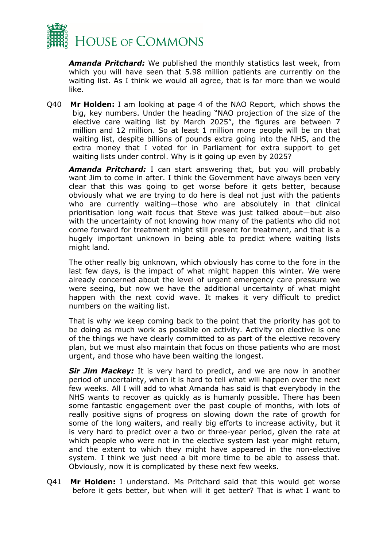

*Amanda Pritchard:* We published the monthly statistics last week, from which you will have seen that 5.98 million patients are currently on the waiting list. As I think we would all agree, that is far more than we would like.

Q40 **Mr Holden:** I am looking at page 4 of the NAO Report, which shows the big, key numbers. Under the heading "NAO projection of the size of the elective care waiting list by March 2025", the figures are between 7 million and 12 million. So at least 1 million more people will be on that waiting list, despite billions of pounds extra going into the NHS, and the extra money that I voted for in Parliament for extra support to get waiting lists under control. Why is it going up even by 2025?

*Amanda Pritchard:* I can start answering that, but you will probably want Jim to come in after. I think the Government have always been very clear that this was going to get worse before it gets better, because obviously what we are trying to do here is deal not just with the patients who are currently waiting—those who are absolutely in that clinical prioritisation long wait focus that Steve was just talked about—but also with the uncertainty of not knowing how many of the patients who did not come forward for treatment might still present for treatment, and that is a hugely important unknown in being able to predict where waiting lists might land.

The other really big unknown, which obviously has come to the fore in the last few days, is the impact of what might happen this winter. We were already concerned about the level of urgent emergency care pressure we were seeing, but now we have the additional uncertainty of what might happen with the next covid wave. It makes it very difficult to predict numbers on the waiting list.

That is why we keep coming back to the point that the priority has got to be doing as much work as possible on activity. Activity on elective is one of the things we have clearly committed to as part of the elective recovery plan, but we must also maintain that focus on those patients who are most urgent, and those who have been waiting the longest.

**Sir Jim Mackey:** It is very hard to predict, and we are now in another period of uncertainty, when it is hard to tell what will happen over the next few weeks. All I will add to what Amanda has said is that everybody in the NHS wants to recover as quickly as is humanly possible. There has been some fantastic engagement over the past couple of months, with lots of really positive signs of progress on slowing down the rate of growth for some of the long waiters, and really big efforts to increase activity, but it is very hard to predict over a two or three-year period, given the rate at which people who were not in the elective system last year might return, and the extent to which they might have appeared in the non-elective system. I think we just need a bit more time to be able to assess that. Obviously, now it is complicated by these next few weeks.

Q41 **Mr Holden:** I understand. Ms Pritchard said that this would get worse before it gets better, but when will it get better? That is what I want to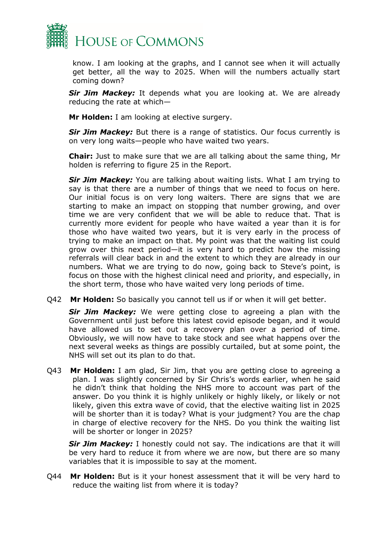

know. I am looking at the graphs, and I cannot see when it will actually get better, all the way to 2025. When will the numbers actually start coming down?

**Sir Jim Mackey:** It depends what you are looking at. We are already reducing the rate at which—

**Mr Holden:** I am looking at elective surgery.

*Sir Jim Mackey:* But there is a range of statistics. Our focus currently is on very long waits—people who have waited two years.

**Chair:** Just to make sure that we are all talking about the same thing, Mr holden is referring to figure 25 in the Report.

*Sir Jim Mackey:* You are talking about waiting lists. What I am trying to say is that there are a number of things that we need to focus on here. Our initial focus is on very long waiters. There are signs that we are starting to make an impact on stopping that number growing, and over time we are very confident that we will be able to reduce that. That is currently more evident for people who have waited a year than it is for those who have waited two years, but it is very early in the process of trying to make an impact on that. My point was that the waiting list could grow over this next period—it is very hard to predict how the missing referrals will clear back in and the extent to which they are already in our numbers. What we are trying to do now, going back to Steve's point, is focus on those with the highest clinical need and priority, and especially, in the short term, those who have waited very long periods of time.

Q42 **Mr Holden:** So basically you cannot tell us if or when it will get better.

**Sir Jim Mackey:** We were getting close to agreeing a plan with the Government until just before this latest covid episode began, and it would have allowed us to set out a recovery plan over a period of time. Obviously, we will now have to take stock and see what happens over the next several weeks as things are possibly curtailed, but at some point, the NHS will set out its plan to do that.

Q43 **Mr Holden:** I am glad, Sir Jim, that you are getting close to agreeing a plan. I was slightly concerned by Sir Chris's words earlier, when he said he didn't think that holding the NHS more to account was part of the answer. Do you think it is highly unlikely or highly likely, or likely or not likely, given this extra wave of covid, that the elective waiting list in 2025 will be shorter than it is today? What is your judgment? You are the chap in charge of elective recovery for the NHS. Do you think the waiting list will be shorter or longer in 2025?

**Sir Jim Mackey:** I honestly could not say. The indications are that it will be very hard to reduce it from where we are now, but there are so many variables that it is impossible to say at the moment.

Q44 **Mr Holden:** But is it your honest assessment that it will be very hard to reduce the waiting list from where it is today?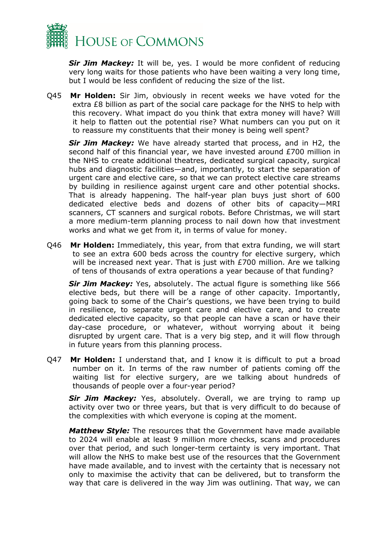

*Sir Jim Mackey:* It will be, yes. I would be more confident of reducing very long waits for those patients who have been waiting a very long time, but I would be less confident of reducing the size of the list.

Q45 **Mr Holden:** Sir Jim, obviously in recent weeks we have voted for the extra £8 billion as part of the social care package for the NHS to help with this recovery. What impact do you think that extra money will have? Will it help to flatten out the potential rise? What numbers can you put on it to reassure my constituents that their money is being well spent?

*Sir Jim Mackey:* We have already started that process, and in H2, the second half of this financial year, we have invested around £700 million in the NHS to create additional theatres, dedicated surgical capacity, surgical hubs and diagnostic facilities—and, importantly, to start the separation of urgent care and elective care, so that we can protect elective care streams by building in resilience against urgent care and other potential shocks. That is already happening. The half-year plan buys just short of 600 dedicated elective beds and dozens of other bits of capacity—MRI scanners, CT scanners and surgical robots. Before Christmas, we will start a more medium-term planning process to nail down how that investment works and what we get from it, in terms of value for money.

Q46 **Mr Holden:** Immediately, this year, from that extra funding, we will start to see an extra 600 beds across the country for elective surgery, which will be increased next year. That is just with £700 million. Are we talking of tens of thousands of extra operations a year because of that funding?

**Sir Jim Mackey:** Yes, absolutely. The actual figure is something like 566 elective beds, but there will be a range of other capacity. Importantly, going back to some of the Chair's questions, we have been trying to build in resilience, to separate urgent care and elective care, and to create dedicated elective capacity, so that people can have a scan or have their day-case procedure, or whatever, without worrying about it being disrupted by urgent care. That is a very big step, and it will flow through in future years from this planning process.

Q47 **Mr Holden:** I understand that, and I know it is difficult to put a broad number on it. In terms of the raw number of patients coming off the waiting list for elective surgery, are we talking about hundreds of thousands of people over a four-year period?

**Sir Jim Mackey:** Yes, absolutely. Overall, we are trying to ramp up activity over two or three years, but that is very difficult to do because of the complexities with which everyone is coping at the moment.

*Matthew Style:* The resources that the Government have made available to 2024 will enable at least 9 million more checks, scans and procedures over that period, and such longer-term certainty is very important. That will allow the NHS to make best use of the resources that the Government have made available, and to invest with the certainty that is necessary not only to maximise the activity that can be delivered, but to transform the way that care is delivered in the way Jim was outlining. That way, we can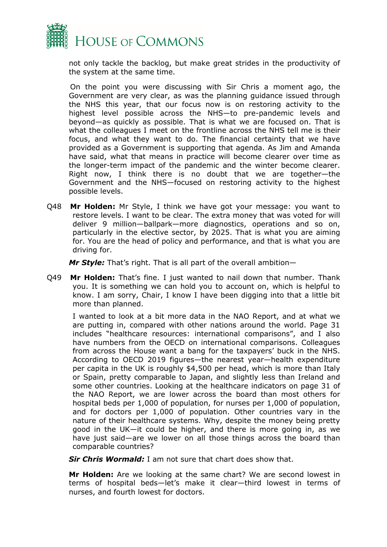

not only tackle the backlog, but make great strides in the productivity of the system at the same time.

On the point you were discussing with Sir Chris a moment ago, the Government are very clear, as was the planning guidance issued through the NHS this year, that our focus now is on restoring activity to the highest level possible across the NHS—to pre-pandemic levels and beyond—as quickly as possible. That is what we are focused on. That is what the colleagues I meet on the frontline across the NHS tell me is their focus, and what they want to do. The financial certainty that we have provided as a Government is supporting that agenda. As Jim and Amanda have said, what that means in practice will become clearer over time as the longer-term impact of the pandemic and the winter become clearer. Right now, I think there is no doubt that we are together—the Government and the NHS—focused on restoring activity to the highest possible levels.

Q48 **Mr Holden:** Mr Style, I think we have got your message: you want to restore levels. I want to be clear. The extra money that was voted for will deliver 9 million—ballpark—more diagnostics, operations and so on, particularly in the elective sector, by 2025. That is what you are aiming for. You are the head of policy and performance, and that is what you are driving for.

*Mr Style:* That's right. That is all part of the overall ambition—

Q49 **Mr Holden:** That's fine. I just wanted to nail down that number. Thank you. It is something we can hold you to account on, which is helpful to know. I am sorry, Chair, I know I have been digging into that a little bit more than planned.

I wanted to look at a bit more data in the NAO Report, and at what we are putting in, compared with other nations around the world. Page 31 includes "healthcare resources: international comparisons", and I also have numbers from the OECD on international comparisons. Colleagues from across the House want a bang for the taxpayers' buck in the NHS. According to OECD 2019 figures—the nearest year—health expenditure per capita in the UK is roughly \$4,500 per head, which is more than Italy or Spain, pretty comparable to Japan, and slightly less than Ireland and some other countries. Looking at the healthcare indicators on page 31 of the NAO Report, we are lower across the board than most others for hospital beds per 1,000 of population, for nurses per 1,000 of population, and for doctors per 1,000 of population. Other countries vary in the nature of their healthcare systems. Why, despite the money being pretty good in the UK—it could be higher, and there is more going in, as we have just said—are we lower on all those things across the board than comparable countries?

**Sir Chris Wormald:** I am not sure that chart does show that.

**Mr Holden:** Are we looking at the same chart? We are second lowest in terms of hospital beds—let's make it clear—third lowest in terms of nurses, and fourth lowest for doctors.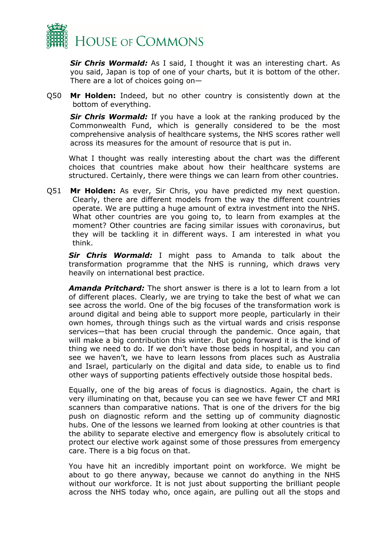

*Sir Chris Wormald:* As I said, I thought it was an interesting chart. As you said, Japan is top of one of your charts, but it is bottom of the other. There are a lot of choices going on—

Q50 **Mr Holden:** Indeed, but no other country is consistently down at the bottom of everything.

**Sir Chris Wormald:** If you have a look at the ranking produced by the Commonwealth Fund, which is generally considered to be the most comprehensive analysis of healthcare systems, the NHS scores rather well across its measures for the amount of resource that is put in.

What I thought was really interesting about the chart was the different choices that countries make about how their healthcare systems are structured. Certainly, there were things we can learn from other countries.

Q51 **Mr Holden:** As ever, Sir Chris, you have predicted my next question. Clearly, there are different models from the way the different countries operate. We are putting a huge amount of extra investment into the NHS. What other countries are you going to, to learn from examples at the moment? Other countries are facing similar issues with coronavirus, but they will be tackling it in different ways. I am interested in what you think.

**Sir Chris Wormald:** I might pass to Amanda to talk about the transformation programme that the NHS is running, which draws very heavily on international best practice.

*Amanda Pritchard:* The short answer is there is a lot to learn from a lot of different places. Clearly, we are trying to take the best of what we can see across the world. One of the big focuses of the transformation work is around digital and being able to support more people, particularly in their own homes, through things such as the virtual wards and crisis response services—that has been crucial through the pandemic. Once again, that will make a big contribution this winter. But going forward it is the kind of thing we need to do. If we don't have those beds in hospital, and you can see we haven't, we have to learn lessons from places such as Australia and Israel, particularly on the digital and data side, to enable us to find other ways of supporting patients effectively outside those hospital beds.

Equally, one of the big areas of focus is diagnostics. Again, the chart is very illuminating on that, because you can see we have fewer CT and MRI scanners than comparative nations. That is one of the drivers for the big push on diagnostic reform and the setting up of community diagnostic hubs. One of the lessons we learned from looking at other countries is that the ability to separate elective and emergency flow is absolutely critical to protect our elective work against some of those pressures from emergency care. There is a big focus on that.

You have hit an incredibly important point on workforce. We might be about to go there anyway, because we cannot do anything in the NHS without our workforce. It is not just about supporting the brilliant people across the NHS today who, once again, are pulling out all the stops and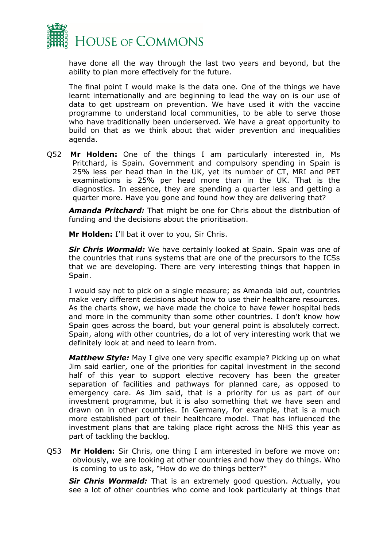

have done all the way through the last two years and beyond, but the ability to plan more effectively for the future.

The final point I would make is the data one. One of the things we have learnt internationally and are beginning to lead the way on is our use of data to get upstream on prevention. We have used it with the vaccine programme to understand local communities, to be able to serve those who have traditionally been underserved. We have a great opportunity to build on that as we think about that wider prevention and inequalities agenda.

Q52 **Mr Holden:** One of the things I am particularly interested in, Ms Pritchard, is Spain. Government and compulsory spending in Spain is 25% less per head than in the UK, yet its number of CT, MRI and PET examinations is 25% per head more than in the UK. That is the diagnostics. In essence, they are spending a quarter less and getting a quarter more. Have you gone and found how they are delivering that?

*Amanda Pritchard:* That might be one for Chris about the distribution of funding and the decisions about the prioritisation.

**Mr Holden:** I'll bat it over to you, Sir Chris.

*Sir Chris Wormald:* We have certainly looked at Spain. Spain was one of the countries that runs systems that are one of the precursors to the ICSs that we are developing. There are very interesting things that happen in Spain.

I would say not to pick on a single measure; as Amanda laid out, countries make very different decisions about how to use their healthcare resources. As the charts show, we have made the choice to have fewer hospital beds and more in the community than some other countries. I don't know how Spain goes across the board, but your general point is absolutely correct. Spain, along with other countries, do a lot of very interesting work that we definitely look at and need to learn from.

*Matthew Style:* May I give one very specific example? Picking up on what Jim said earlier, one of the priorities for capital investment in the second half of this year to support elective recovery has been the greater separation of facilities and pathways for planned care, as opposed to emergency care. As Jim said, that is a priority for us as part of our investment programme, but it is also something that we have seen and drawn on in other countries. In Germany, for example, that is a much more established part of their healthcare model. That has influenced the investment plans that are taking place right across the NHS this year as part of tackling the backlog.

Q53 **Mr Holden:** Sir Chris, one thing I am interested in before we move on: obviously, we are looking at other countries and how they do things. Who is coming to us to ask, "How do we do things better?"

**Sir Chris Wormald:** That is an extremely good question. Actually, you see a lot of other countries who come and look particularly at things that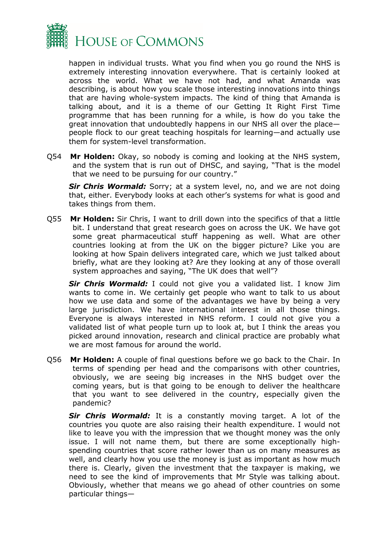

happen in individual trusts. What you find when you go round the NHS is extremely interesting innovation everywhere. That is certainly looked at across the world. What we have not had, and what Amanda was describing, is about how you scale those interesting innovations into things that are having whole-system impacts. The kind of thing that Amanda is talking about, and it is a theme of our Getting It Right First Time programme that has been running for a while, is how do you take the great innovation that undoubtedly happens in our NHS all over the place people flock to our great teaching hospitals for learning—and actually use them for system-level transformation.

Q54 **Mr Holden:** Okay, so nobody is coming and looking at the NHS system, and the system that is run out of DHSC, and saying, "That is the model that we need to be pursuing for our country."

**Sir Chris Wormald:** Sorry; at a system level, no, and we are not doing that, either. Everybody looks at each other's systems for what is good and takes things from them.

Q55 **Mr Holden:** Sir Chris, I want to drill down into the specifics of that a little bit. I understand that great research goes on across the UK. We have got some great pharmaceutical stuff happening as well. What are other countries looking at from the UK on the bigger picture? Like you are looking at how Spain delivers integrated care, which we just talked about briefly, what are they looking at? Are they looking at any of those overall system approaches and saying, "The UK does that well"?

*Sir Chris Wormald:* I could not give you a validated list. I know Jim wants to come in. We certainly get people who want to talk to us about how we use data and some of the advantages we have by being a very large jurisdiction. We have international interest in all those things. Everyone is always interested in NHS reform. I could not give you a validated list of what people turn up to look at, but I think the areas you picked around innovation, research and clinical practice are probably what we are most famous for around the world.

Q56 **Mr Holden:** A couple of final questions before we go back to the Chair. In terms of spending per head and the comparisons with other countries, obviously, we are seeing big increases in the NHS budget over the coming years, but is that going to be enough to deliver the healthcare that you want to see delivered in the country, especially given the pandemic?

**Sir Chris Wormald:** It is a constantly moving target. A lot of the countries you quote are also raising their health expenditure. I would not like to leave you with the impression that we thought money was the only issue. I will not name them, but there are some exceptionally highspending countries that score rather lower than us on many measures as well, and clearly how you use the money is just as important as how much there is. Clearly, given the investment that the taxpayer is making, we need to see the kind of improvements that Mr Style was talking about. Obviously, whether that means we go ahead of other countries on some particular things—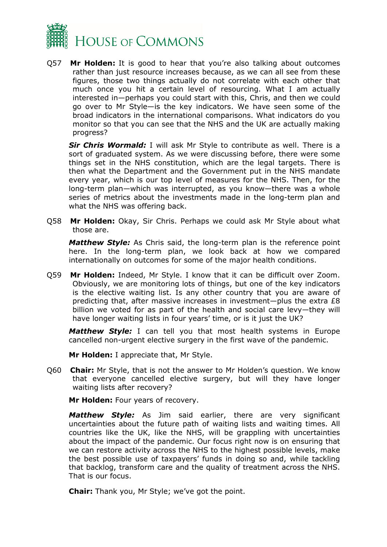

Q57 **Mr Holden:** It is good to hear that you're also talking about outcomes rather than just resource increases because, as we can all see from these figures, those two things actually do not correlate with each other that much once you hit a certain level of resourcing. What I am actually interested in—perhaps you could start with this, Chris, and then we could go over to Mr Style—is the key indicators. We have seen some of the broad indicators in the international comparisons. What indicators do you monitor so that you can see that the NHS and the UK are actually making progress?

**Sir Chris Wormald:** I will ask Mr Style to contribute as well. There is a sort of graduated system. As we were discussing before, there were some things set in the NHS constitution, which are the legal targets. There is then what the Department and the Government put in the NHS mandate every year, which is our top level of measures for the NHS. Then, for the long-term plan—which was interrupted, as you know—there was a whole series of metrics about the investments made in the long-term plan and what the NHS was offering back.

Q58 **Mr Holden:** Okay, Sir Chris. Perhaps we could ask Mr Style about what those are.

*Matthew Style:* As Chris said, the long-term plan is the reference point here. In the long-term plan, we look back at how we compared internationally on outcomes for some of the major health conditions.

Q59 **Mr Holden:** Indeed, Mr Style. I know that it can be difficult over Zoom. Obviously, we are monitoring lots of things, but one of the key indicators is the elective waiting list. Is any other country that you are aware of predicting that, after massive increases in investment—plus the extra £8 billion we voted for as part of the health and social care levy—they will have longer waiting lists in four years' time, or is it just the UK?

*Matthew Style:* I can tell you that most health systems in Europe cancelled non-urgent elective surgery in the first wave of the pandemic.

**Mr Holden:** I appreciate that, Mr Style.

Q60 **Chair:** Mr Style, that is not the answer to Mr Holden's question. We know that everyone cancelled elective surgery, but will they have longer waiting lists after recovery?

**Mr Holden:** Four years of recovery.

*Matthew Style:* As Jim said earlier, there are very significant uncertainties about the future path of waiting lists and waiting times. All countries like the UK, like the NHS, will be grappling with uncertainties about the impact of the pandemic. Our focus right now is on ensuring that we can restore activity across the NHS to the highest possible levels, make the best possible use of taxpayers' funds in doing so and, while tackling that backlog, transform care and the quality of treatment across the NHS. That is our focus.

**Chair:** Thank you, Mr Style; we've got the point.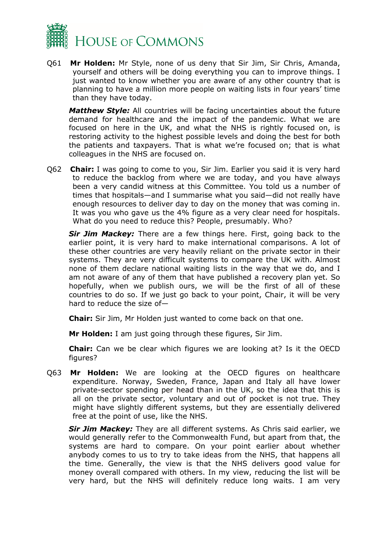

Q61 **Mr Holden:** Mr Style, none of us deny that Sir Jim, Sir Chris, Amanda, yourself and others will be doing everything you can to improve things. I just wanted to know whether you are aware of any other country that is planning to have a million more people on waiting lists in four years' time than they have today.

*Matthew Style:* All countries will be facing uncertainties about the future demand for healthcare and the impact of the pandemic. What we are focused on here in the UK, and what the NHS is rightly focused on, is restoring activity to the highest possible levels and doing the best for both the patients and taxpayers. That is what we're focused on; that is what colleagues in the NHS are focused on.

Q62 **Chair:** I was going to come to you, Sir Jim. Earlier you said it is very hard to reduce the backlog from where we are today, and you have always been a very candid witness at this Committee. You told us a number of times that hospitals—and I summarise what you said—did not really have enough resources to deliver day to day on the money that was coming in. It was you who gave us the 4% figure as a very clear need for hospitals. What do you need to reduce this? People, presumably. Who?

*Sir Jim Mackey:* There are a few things here. First, going back to the earlier point, it is very hard to make international comparisons. A lot of these other countries are very heavily reliant on the private sector in their systems. They are very difficult systems to compare the UK with. Almost none of them declare national waiting lists in the way that we do, and I am not aware of any of them that have published a recovery plan yet. So hopefully, when we publish ours, we will be the first of all of these countries to do so. If we just go back to your point, Chair, it will be very hard to reduce the size of—

**Chair:** Sir Jim, Mr Holden just wanted to come back on that one.

**Mr Holden:** I am just going through these figures, Sir Jim.

**Chair:** Can we be clear which figures we are looking at? Is it the OECD figures?

Q63 **Mr Holden:** We are looking at the OECD figures on healthcare expenditure. Norway, Sweden, France, Japan and Italy all have lower private-sector spending per head than in the UK, so the idea that this is all on the private sector, voluntary and out of pocket is not true. They might have slightly different systems, but they are essentially delivered free at the point of use, like the NHS.

**Sir Jim Mackey:** They are all different systems. As Chris said earlier, we would generally refer to the Commonwealth Fund, but apart from that, the systems are hard to compare. On your point earlier about whether anybody comes to us to try to take ideas from the NHS, that happens all the time. Generally, the view is that the NHS delivers good value for money overall compared with others. In my view, reducing the list will be very hard, but the NHS will definitely reduce long waits. I am very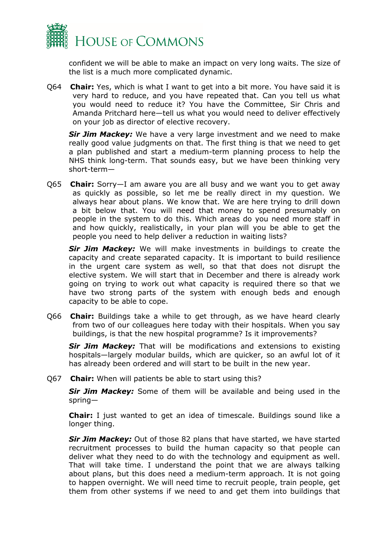

confident we will be able to make an impact on very long waits. The size of the list is a much more complicated dynamic.

Q64 **Chair:** Yes, which is what I want to get into a bit more. You have said it is very hard to reduce, and you have repeated that. Can you tell us what you would need to reduce it? You have the Committee, Sir Chris and Amanda Pritchard here—tell us what you would need to deliver effectively on your job as director of elective recovery.

**Sir Jim Mackey:** We have a very large investment and we need to make really good value judgments on that. The first thing is that we need to get a plan published and start a medium-term planning process to help the NHS think long-term. That sounds easy, but we have been thinking very short-term—

Q65 **Chair:** Sorry—I am aware you are all busy and we want you to get away as quickly as possible, so let me be really direct in my question. We always hear about plans. We know that. We are here trying to drill down a bit below that. You will need that money to spend presumably on people in the system to do this. Which areas do you need more staff in and how quickly, realistically, in your plan will you be able to get the people you need to help deliver a reduction in waiting lists?

**Sir Jim Mackey:** We will make investments in buildings to create the capacity and create separated capacity. It is important to build resilience in the urgent care system as well, so that that does not disrupt the elective system. We will start that in December and there is already work going on trying to work out what capacity is required there so that we have two strong parts of the system with enough beds and enough capacity to be able to cope.

Q66 **Chair:** Buildings take a while to get through, as we have heard clearly from two of our colleagues here today with their hospitals. When you say buildings, is that the new hospital programme? Is it improvements?

*Sir Jim Mackey:* That will be modifications and extensions to existing hospitals—largely modular builds, which are quicker, so an awful lot of it has already been ordered and will start to be built in the new year.

Q67 **Chair:** When will patients be able to start using this?

*Sir Jim Mackey:* Some of them will be available and being used in the spring—

**Chair:** I just wanted to get an idea of timescale. Buildings sound like a longer thing.

*Sir Jim Mackey:* Out of those 82 plans that have started, we have started recruitment processes to build the human capacity so that people can deliver what they need to do with the technology and equipment as well. That will take time. I understand the point that we are always talking about plans, but this does need a medium-term approach. It is not going to happen overnight. We will need time to recruit people, train people, get them from other systems if we need to and get them into buildings that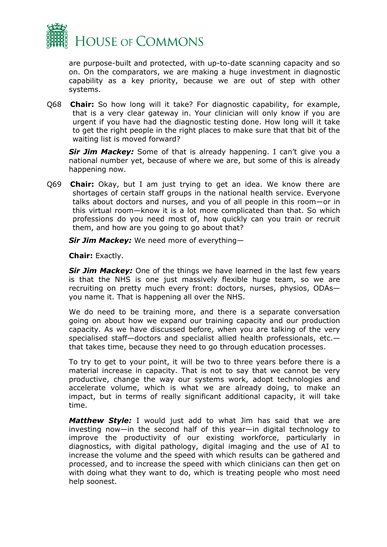

are purpose-built and protected, with up-to-date scanning capacity and so on. On the comparators, we are making a huge investment in diagnostic capability as a key priority, because we are out of step with other systems.

Q68 **Chair:** So how long will it take? For diagnostic capability, for example, that is a very clear gateway in. Your clinician will only know if you are urgent if you have had the diagnostic testing done. How long will it take to get the right people in the right places to make sure that that bit of the waiting list is moved forward?

**Sir Jim Mackey:** Some of that is already happening. I can't give you a national number yet, because of where we are, but some of this is already happening now.

Q69 **Chair:** Okay, but I am just trying to get an idea. We know there are shortages of certain staff groups in the national health service. Everyone talks about doctors and nurses, and you of all people in this room—or in this virtual room—know it is a lot more complicated than that. So which professions do you need most of, how quickly can you train or recruit them, and how are you going to go about that?

*Sir Jim Mackey:* We need more of everything—

**Chair:** Exactly.

**Sir Jim Mackey:** One of the things we have learned in the last few years is that the NHS is one just massively flexible huge team, so we are recruiting on pretty much every front: doctors, nurses, physios, ODAs you name it. That is happening all over the NHS.

We do need to be training more, and there is a separate conversation going on about how we expand our training capacity and our production capacity. As we have discussed before, when you are talking of the very specialised staff—doctors and specialist allied health professionals, etc. that takes time, because they need to go through education processes.

To try to get to your point, it will be two to three years before there is a material increase in capacity. That is not to say that we cannot be very productive, change the way our systems work, adopt technologies and accelerate volume, which is what we are already doing, to make an impact, but in terms of really significant additional capacity, it will take time.

*Matthew Style:* I would just add to what Jim has said that we are investing now—in the second half of this year—in digital technology to improve the productivity of our existing workforce, particularly in diagnostics, with digital pathology, digital imaging and the use of AI to increase the volume and the speed with which results can be gathered and processed, and to increase the speed with which clinicians can then get on with doing what they want to do, which is treating people who most need help soonest.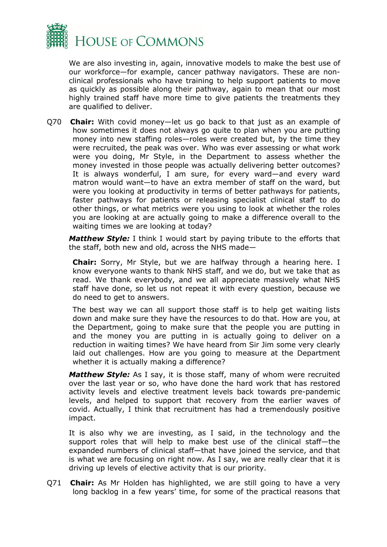

We are also investing in, again, innovative models to make the best use of our workforce—for example, cancer pathway navigators. These are nonclinical professionals who have training to help support patients to move as quickly as possible along their pathway, again to mean that our most highly trained staff have more time to give patients the treatments they are qualified to deliver.

Q70 **Chair:** With covid money—let us go back to that just as an example of how sometimes it does not always go quite to plan when you are putting money into new staffing roles—roles were created but, by the time they were recruited, the peak was over. Who was ever assessing or what work were you doing, Mr Style, in the Department to assess whether the money invested in those people was actually delivering better outcomes? It is always wonderful, I am sure, for every ward—and every ward matron would want—to have an extra member of staff on the ward, but were you looking at productivity in terms of better pathways for patients, faster pathways for patients or releasing specialist clinical staff to do other things, or what metrics were you using to look at whether the roles you are looking at are actually going to make a difference overall to the waiting times we are looking at today?

*Matthew Style:* I think I would start by paying tribute to the efforts that the staff, both new and old, across the NHS made—

**Chair:** Sorry, Mr Style, but we are halfway through a hearing here. I know everyone wants to thank NHS staff, and we do, but we take that as read. We thank everybody, and we all appreciate massively what NHS staff have done, so let us not repeat it with every question, because we do need to get to answers.

The best way we can all support those staff is to help get waiting lists down and make sure they have the resources to do that. How are you, at the Department, going to make sure that the people you are putting in and the money you are putting in is actually going to deliver on a reduction in waiting times? We have heard from Sir Jim some very clearly laid out challenges. How are you going to measure at the Department whether it is actually making a difference?

*Matthew Style:* As I say, it is those staff, many of whom were recruited over the last year or so, who have done the hard work that has restored activity levels and elective treatment levels back towards pre-pandemic levels, and helped to support that recovery from the earlier waves of covid. Actually, I think that recruitment has had a tremendously positive impact.

It is also why we are investing, as I said, in the technology and the support roles that will help to make best use of the clinical staff—the expanded numbers of clinical staff—that have joined the service, and that is what we are focusing on right now. As I say, we are really clear that it is driving up levels of elective activity that is our priority.

Q71 **Chair:** As Mr Holden has highlighted, we are still going to have a very long backlog in a few years' time, for some of the practical reasons that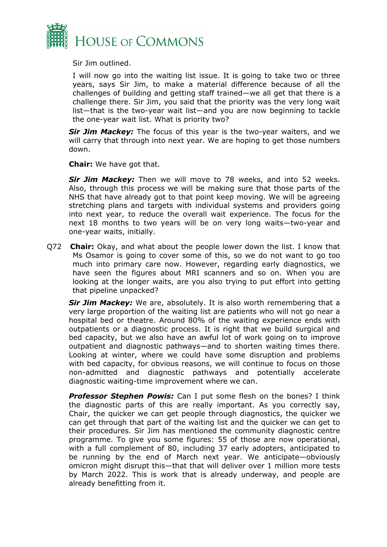

Sir Jim outlined.

I will now go into the waiting list issue. It is going to take two or three years, says Sir Jim, to make a material difference because of all the challenges of building and getting staff trained—we all get that there is a challenge there. Sir Jim, you said that the priority was the very long wait list—that is the two-year wait list—and you are now beginning to tackle the one-year wait list. What is priority two?

**Sir Jim Mackey:** The focus of this year is the two-year waiters, and we will carry that through into next year. We are hoping to get those numbers down.

**Chair:** We have got that.

**Sir Jim Mackey:** Then we will move to 78 weeks, and into 52 weeks. Also, through this process we will be making sure that those parts of the NHS that have already got to that point keep moving. We will be agreeing stretching plans and targets with individual systems and providers going into next year, to reduce the overall wait experience. The focus for the next 18 months to two years will be on very long waits—two-year and one-year waits, initially.

Q72 **Chair:** Okay, and what about the people lower down the list. I know that Ms Osamor is going to cover some of this, so we do not want to go too much into primary care now. However, regarding early diagnostics, we have seen the figures about MRI scanners and so on. When you are looking at the longer waits, are you also trying to put effort into getting that pipeline unpacked?

**Sir Jim Mackey:** We are, absolutely. It is also worth remembering that a very large proportion of the waiting list are patients who will not go near a hospital bed or theatre. Around 80% of the waiting experience ends with outpatients or a diagnostic process. It is right that we build surgical and bed capacity, but we also have an awful lot of work going on to improve outpatient and diagnostic pathways—and to shorten waiting times there. Looking at winter, where we could have some disruption and problems with bed capacity, for obvious reasons, we will continue to focus on those non-admitted and diagnostic pathways and potentially accelerate diagnostic waiting-time improvement where we can.

**Professor Stephen Powis:** Can I put some flesh on the bones? I think the diagnostic parts of this are really important. As you correctly say, Chair, the quicker we can get people through diagnostics, the quicker we can get through that part of the waiting list and the quicker we can get to their procedures. Sir Jim has mentioned the community diagnostic centre programme. To give you some figures: 55 of those are now operational, with a full complement of 80, including 37 early adopters, anticipated to be running by the end of March next year. We anticipate—obviously omicron might disrupt this—that that will deliver over 1 million more tests by March 2022. This is work that is already underway, and people are already benefitting from it.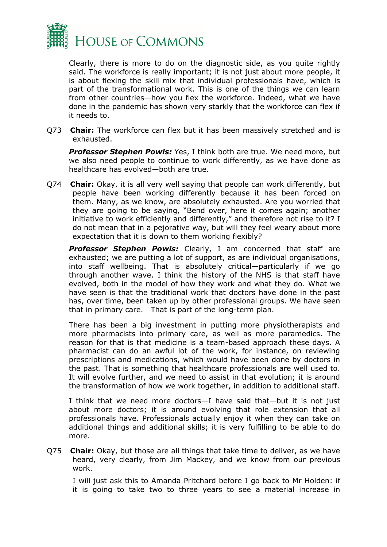

Clearly, there is more to do on the diagnostic side, as you quite rightly said. The workforce is really important; it is not just about more people, it is about flexing the skill mix that individual professionals have, which is part of the transformational work. This is one of the things we can learn from other countries—how you flex the workforce. Indeed, what we have done in the pandemic has shown very starkly that the workforce can flex if it needs to.

Q73 **Chair:** The workforce can flex but it has been massively stretched and is exhausted.

*Professor Stephen Powis:* Yes, I think both are true. We need more, but we also need people to continue to work differently, as we have done as healthcare has evolved—both are true.

Q74 **Chair:** Okay, it is all very well saying that people can work differently, but people have been working differently because it has been forced on them. Many, as we know, are absolutely exhausted. Are you worried that they are going to be saying, "Bend over, here it comes again; another initiative to work efficiently and differently," and therefore not rise to it? I do not mean that in a pejorative way, but will they feel weary about more expectation that it is down to them working flexibly?

**Professor Stephen Powis:** Clearly, I am concerned that staff are exhausted; we are putting a lot of support, as are individual organisations, into staff wellbeing. That is absolutely critical—particularly if we go through another wave. I think the history of the NHS is that staff have evolved, both in the model of how they work and what they do. What we have seen is that the traditional work that doctors have done in the past has, over time, been taken up by other professional groups. We have seen that in primary care. That is part of the long-term plan.

There has been a big investment in putting more physiotherapists and more pharmacists into primary care, as well as more paramedics. The reason for that is that medicine is a team-based approach these days. A pharmacist can do an awful lot of the work, for instance, on reviewing prescriptions and medications, which would have been done by doctors in the past. That is something that healthcare professionals are well used to. It will evolve further, and we need to assist in that evolution; it is around the transformation of how we work together, in addition to additional staff.

I think that we need more doctors—I have said that—but it is not just about more doctors; it is around evolving that role extension that all professionals have. Professionals actually enjoy it when they can take on additional things and additional skills; it is very fulfilling to be able to do more.

Q75 **Chair:** Okay, but those are all things that take time to deliver, as we have heard, very clearly, from Jim Mackey, and we know from our previous work.

I will just ask this to Amanda Pritchard before I go back to Mr Holden: if it is going to take two to three years to see a material increase in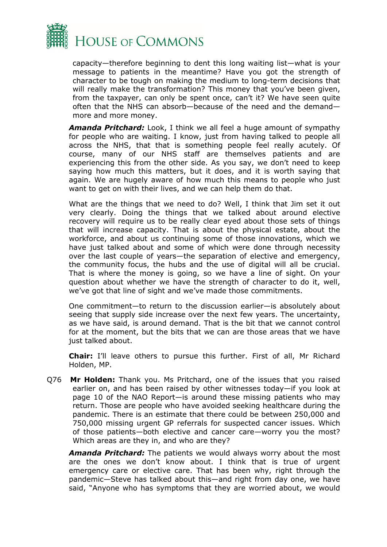

capacity—therefore beginning to dent this long waiting list—what is your message to patients in the meantime? Have you got the strength of character to be tough on making the medium to long-term decisions that will really make the transformation? This money that you've been given, from the taxpayer, can only be spent once, can't it? We have seen quite often that the NHS can absorb—because of the need and the demand more and more money.

*Amanda Pritchard:* Look, I think we all feel a huge amount of sympathy for people who are waiting. I know, just from having talked to people all across the NHS, that that is something people feel really acutely. Of course, many of our NHS staff are themselves patients and are experiencing this from the other side. As you say, we don't need to keep saying how much this matters, but it does, and it is worth saying that again. We are hugely aware of how much this means to people who just want to get on with their lives, and we can help them do that.

What are the things that we need to do? Well, I think that Jim set it out very clearly. Doing the things that we talked about around elective recovery will require us to be really clear eyed about those sets of things that will increase capacity. That is about the physical estate, about the workforce, and about us continuing some of those innovations, which we have just talked about and some of which were done through necessity over the last couple of years—the separation of elective and emergency, the community focus, the hubs and the use of digital will all be crucial. That is where the money is going, so we have a line of sight. On your question about whether we have the strength of character to do it, well, we've got that line of sight and we've made those commitments.

One commitment—to return to the discussion earlier—is absolutely about seeing that supply side increase over the next few years. The uncertainty, as we have said, is around demand. That is the bit that we cannot control for at the moment, but the bits that we can are those areas that we have just talked about.

**Chair:** I'll leave others to pursue this further. First of all, Mr Richard Holden, MP.

Q76 **Mr Holden:** Thank you. Ms Pritchard, one of the issues that you raised earlier on, and has been raised by other witnesses today—if you look at page 10 of the NAO Report—is around these missing patients who may return. Those are people who have avoided seeking healthcare during the pandemic. There is an estimate that there could be between 250,000 and 750,000 missing urgent GP referrals for suspected cancer issues. Which of those patients—both elective and cancer care—worry you the most? Which areas are they in, and who are they?

*Amanda Pritchard:* The patients we would always worry about the most are the ones we don't know about. I think that is true of urgent emergency care or elective care. That has been why, right through the pandemic—Steve has talked about this—and right from day one, we have said, "Anyone who has symptoms that they are worried about, we would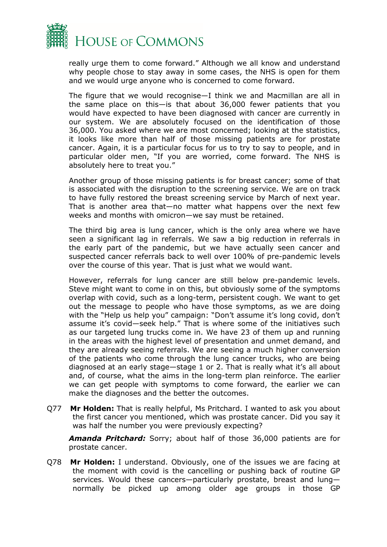

really urge them to come forward." Although we all know and understand why people chose to stay away in some cases, the NHS is open for them and we would urge anyone who is concerned to come forward.

The figure that we would recognise—I think we and Macmillan are all in the same place on this—is that about 36,000 fewer patients that you would have expected to have been diagnosed with cancer are currently in our system. We are absolutely focused on the identification of those 36,000. You asked where we are most concerned; looking at the statistics, it looks like more than half of those missing patients are for prostate cancer. Again, it is a particular focus for us to try to say to people, and in particular older men, "If you are worried, come forward. The NHS is absolutely here to treat you."

Another group of those missing patients is for breast cancer; some of that is associated with the disruption to the screening service. We are on track to have fully restored the breast screening service by March of next year. That is another area that—no matter what happens over the next few weeks and months with omicron—we say must be retained.

The third big area is lung cancer, which is the only area where we have seen a significant lag in referrals. We saw a big reduction in referrals in the early part of the pandemic, but we have actually seen cancer and suspected cancer referrals back to well over 100% of pre-pandemic levels over the course of this year. That is just what we would want.

However, referrals for lung cancer are still below pre-pandemic levels. Steve might want to come in on this, but obviously some of the symptoms overlap with covid, such as a long-term, persistent cough. We want to get out the message to people who have those symptoms, as we are doing with the "Help us help you" campaign: "Don't assume it's long covid, don't assume it's covid—seek help." That is where some of the initiatives such as our targeted lung trucks come in. We have 23 of them up and running in the areas with the highest level of presentation and unmet demand, and they are already seeing referrals. We are seeing a much higher conversion of the patients who come through the lung cancer trucks, who are being diagnosed at an early stage—stage 1 or 2. That is really what it's all about and, of course, what the aims in the long-term plan reinforce. The earlier we can get people with symptoms to come forward, the earlier we can make the diagnoses and the better the outcomes.

Q77 **Mr Holden:** That is really helpful, Ms Pritchard. I wanted to ask you about the first cancer you mentioned, which was prostate cancer. Did you say it was half the number you were previously expecting?

*Amanda Pritchard:* Sorry; about half of those 36,000 patients are for prostate cancer.

Q78 **Mr Holden:** I understand. Obviously, one of the issues we are facing at the moment with covid is the cancelling or pushing back of routine GP services. Would these cancers—particularly prostate, breast and lung normally be picked up among older age groups in those GP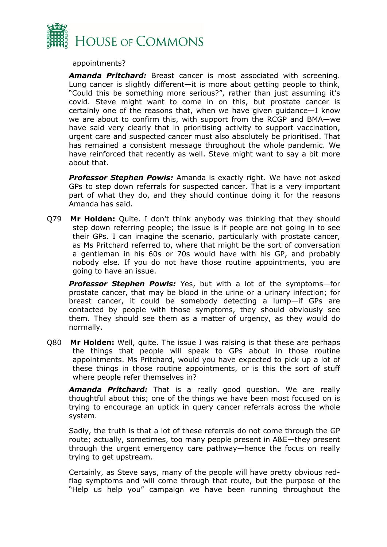

appointments?

*Amanda Pritchard:* Breast cancer is most associated with screening. Lung cancer is slightly different—it is more about getting people to think, "Could this be something more serious?", rather than just assuming it's covid. Steve might want to come in on this, but prostate cancer is certainly one of the reasons that, when we have given guidance—I know we are about to confirm this, with support from the RCGP and BMA—we have said very clearly that in prioritising activity to support vaccination, urgent care and suspected cancer must also absolutely be prioritised. That has remained a consistent message throughout the whole pandemic. We have reinforced that recently as well. Steve might want to say a bit more about that.

**Professor Stephen Powis:** Amanda is exactly right. We have not asked GPs to step down referrals for suspected cancer. That is a very important part of what they do, and they should continue doing it for the reasons Amanda has said.

Q79 **Mr Holden:** Quite. I don't think anybody was thinking that they should step down referring people; the issue is if people are not going in to see their GPs. I can imagine the scenario, particularly with prostate cancer, as Ms Pritchard referred to, where that might be the sort of conversation a gentleman in his 60s or 70s would have with his GP, and probably nobody else. If you do not have those routine appointments, you are going to have an issue.

*Professor Stephen Powis:* Yes, but with a lot of the symptoms—for prostate cancer, that may be blood in the urine or a urinary infection; for breast cancer, it could be somebody detecting a lump—if GPs are contacted by people with those symptoms, they should obviously see them. They should see them as a matter of urgency, as they would do normally.

Q80 **Mr Holden:** Well, quite. The issue I was raising is that these are perhaps the things that people will speak to GPs about in those routine appointments. Ms Pritchard, would you have expected to pick up a lot of these things in those routine appointments, or is this the sort of stuff where people refer themselves in?

*Amanda Pritchard:* That is a really good question. We are really thoughtful about this; one of the things we have been most focused on is trying to encourage an uptick in query cancer referrals across the whole system.

Sadly, the truth is that a lot of these referrals do not come through the GP route; actually, sometimes, too many people present in A&E—they present through the urgent emergency care pathway—hence the focus on really trying to get upstream.

Certainly, as Steve says, many of the people will have pretty obvious redflag symptoms and will come through that route, but the purpose of the "Help us help you" campaign we have been running throughout the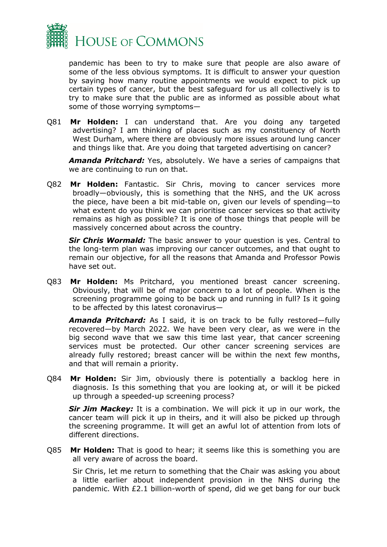

pandemic has been to try to make sure that people are also aware of some of the less obvious symptoms. It is difficult to answer your question by saying how many routine appointments we would expect to pick up certain types of cancer, but the best safeguard for us all collectively is to try to make sure that the public are as informed as possible about what some of those worrying symptoms—

Q81 **Mr Holden:** I can understand that. Are you doing any targeted advertising? I am thinking of places such as my constituency of North West Durham, where there are obviously more issues around lung cancer and things like that. Are you doing that targeted advertising on cancer?

*Amanda Pritchard:* Yes, absolutely. We have a series of campaigns that we are continuing to run on that.

Q82 **Mr Holden:** Fantastic. Sir Chris, moving to cancer services more broadly—obviously, this is something that the NHS, and the UK across the piece, have been a bit mid-table on, given our levels of spending—to what extent do you think we can prioritise cancer services so that activity remains as high as possible? It is one of those things that people will be massively concerned about across the country.

**Sir Chris Wormald:** The basic answer to your question is yes. Central to the long-term plan was improving our cancer outcomes, and that ought to remain our objective, for all the reasons that Amanda and Professor Powis have set out.

Q83 **Mr Holden:** Ms Pritchard, you mentioned breast cancer screening. Obviously, that will be of major concern to a lot of people. When is the screening programme going to be back up and running in full? Is it going to be affected by this latest coronavirus—

*Amanda Pritchard:* As I said, it is on track to be fully restored—fully recovered—by March 2022. We have been very clear, as we were in the big second wave that we saw this time last year, that cancer screening services must be protected. Our other cancer screening services are already fully restored; breast cancer will be within the next few months, and that will remain a priority.

Q84 **Mr Holden:** Sir Jim, obviously there is potentially a backlog here in diagnosis. Is this something that you are looking at, or will it be picked up through a speeded-up screening process?

**Sir Jim Mackey:** It is a combination. We will pick it up in our work, the cancer team will pick it up in theirs, and it will also be picked up through the screening programme. It will get an awful lot of attention from lots of different directions.

Q85 **Mr Holden:** That is good to hear; it seems like this is something you are all very aware of across the board.

Sir Chris, let me return to something that the Chair was asking you about a little earlier about independent provision in the NHS during the pandemic. With £2.1 billion-worth of spend, did we get bang for our buck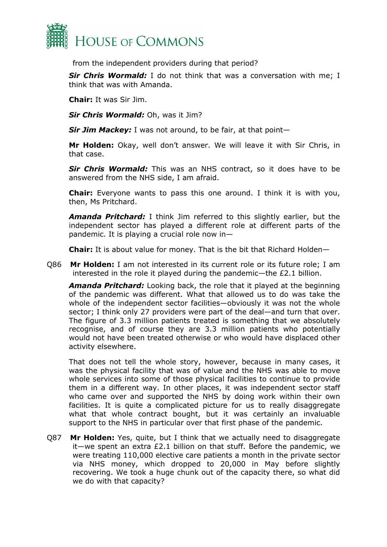

from the independent providers during that period?

**Sir Chris Wormald:** I do not think that was a conversation with me; I think that was with Amanda.

**Chair:** It was Sir Jim.

*Sir Chris Wormald:* Oh, was it Jim?

*Sir Jim Mackey:* I was not around, to be fair, at that point—

**Mr Holden:** Okay, well don't answer. We will leave it with Sir Chris, in that case.

*Sir Chris Wormald:* This was an NHS contract, so it does have to be answered from the NHS side, I am afraid.

**Chair:** Everyone wants to pass this one around. I think it is with you, then, Ms Pritchard.

*Amanda Pritchard:* I think Jim referred to this slightly earlier, but the independent sector has played a different role at different parts of the pandemic. It is playing a crucial role now in—

**Chair:** It is about value for money. That is the bit that Richard Holden—

Q86 **Mr Holden:** I am not interested in its current role or its future role; I am interested in the role it played during the pandemic—the £2.1 billion.

*Amanda Pritchard:* Looking back, the role that it played at the beginning of the pandemic was different. What that allowed us to do was take the whole of the independent sector facilities—obviously it was not the whole sector; I think only 27 providers were part of the deal—and turn that over. The figure of 3.3 million patients treated is something that we absolutely recognise, and of course they are 3.3 million patients who potentially would not have been treated otherwise or who would have displaced other activity elsewhere.

That does not tell the whole story, however, because in many cases, it was the physical facility that was of value and the NHS was able to move whole services into some of those physical facilities to continue to provide them in a different way. In other places, it was independent sector staff who came over and supported the NHS by doing work within their own facilities. It is quite a complicated picture for us to really disaggregate what that whole contract bought, but it was certainly an invaluable support to the NHS in particular over that first phase of the pandemic.

Q87 **Mr Holden:** Yes, quite, but I think that we actually need to disaggregate it—we spent an extra £2.1 billion on that stuff. Before the pandemic, we were treating 110,000 elective care patients a month in the private sector via NHS money, which dropped to 20,000 in May before slightly recovering. We took a huge chunk out of the capacity there, so what did we do with that capacity?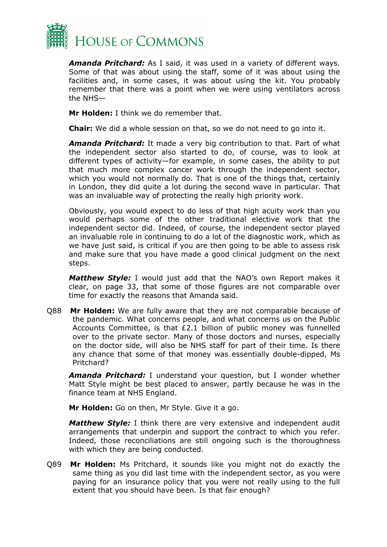

*Amanda Pritchard:* As I said, it was used in a variety of different ways. Some of that was about using the staff, some of it was about using the facilities and, in some cases, it was about using the kit. You probably remember that there was a point when we were using ventilators across the NHS—

**Mr Holden:** I think we do remember that.

**Chair:** We did a whole session on that, so we do not need to go into it.

*Amanda Pritchard:* It made a very big contribution to that. Part of what the independent sector also started to do, of course, was to look at different types of activity—for example, in some cases, the ability to put that much more complex cancer work through the independent sector, which you would not normally do. That is one of the things that, certainly in London, they did quite a lot during the second wave in particular. That was an invaluable way of protecting the really high priority work.

Obviously, you would expect to do less of that high acuity work than you would perhaps some of the other traditional elective work that the independent sector did. Indeed, of course, the independent sector played an invaluable role in continuing to do a lot of the diagnostic work, which as we have just said, is critical if you are then going to be able to assess risk and make sure that you have made a good clinical judgment on the next steps.

*Matthew Style:* I would just add that the NAO's own Report makes it clear, on page 33, that some of those figures are not comparable over time for exactly the reasons that Amanda said.

Q88 **Mr Holden:** We are fully aware that they are not comparable because of the pandemic. What concerns people, and what concerns us on the Public Accounts Committee, is that £2.1 billion of public money was funnelled over to the private sector. Many of those doctors and nurses, especially on the doctor side, will also be NHS staff for part of their time. Is there any chance that some of that money was essentially double-dipped, Ms Pritchard?

*Amanda Pritchard:* I understand your question, but I wonder whether Matt Style might be best placed to answer, partly because he was in the finance team at NHS England.

**Mr Holden:** Go on then, Mr Style. Give it a go.

*Matthew Style:* I think there are very extensive and independent audit arrangements that underpin and support the contract to which you refer. Indeed, those reconciliations are still ongoing such is the thoroughness with which they are being conducted.

Q89 **Mr Holden:** Ms Pritchard, it sounds like you might not do exactly the same thing as you did last time with the independent sector, as you were paying for an insurance policy that you were not really using to the full extent that you should have been. Is that fair enough?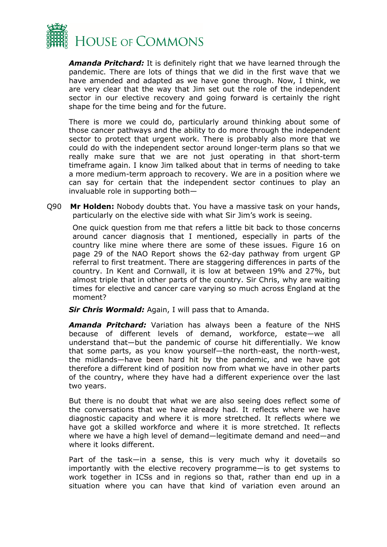

*Amanda Pritchard:* It is definitely right that we have learned through the pandemic. There are lots of things that we did in the first wave that we have amended and adapted as we have gone through. Now, I think, we are very clear that the way that Jim set out the role of the independent sector in our elective recovery and going forward is certainly the right shape for the time being and for the future.

There is more we could do, particularly around thinking about some of those cancer pathways and the ability to do more through the independent sector to protect that urgent work. There is probably also more that we could do with the independent sector around longer-term plans so that we really make sure that we are not just operating in that short-term timeframe again. I know Jim talked about that in terms of needing to take a more medium-term approach to recovery. We are in a position where we can say for certain that the independent sector continues to play an invaluable role in supporting both—

Q90 **Mr Holden:** Nobody doubts that. You have a massive task on your hands, particularly on the elective side with what Sir Jim's work is seeing.

One quick question from me that refers a little bit back to those concerns around cancer diagnosis that I mentioned, especially in parts of the country like mine where there are some of these issues. Figure 16 on page 29 of the NAO Report shows the 62-day pathway from urgent GP referral to first treatment. There are staggering differences in parts of the country. In Kent and Cornwall, it is low at between 19% and 27%, but almost triple that in other parts of the country. Sir Chris, why are waiting times for elective and cancer care varying so much across England at the moment?

*Sir Chris Wormald:* Again, I will pass that to Amanda.

*Amanda Pritchard:* Variation has always been a feature of the NHS because of different levels of demand, workforce, estate—we all understand that—but the pandemic of course hit differentially. We know that some parts, as you know yourself—the north-east, the north-west, the midlands—have been hard hit by the pandemic, and we have got therefore a different kind of position now from what we have in other parts of the country, where they have had a different experience over the last two years.

But there is no doubt that what we are also seeing does reflect some of the conversations that we have already had. It reflects where we have diagnostic capacity and where it is more stretched. It reflects where we have got a skilled workforce and where it is more stretched. It reflects where we have a high level of demand—legitimate demand and need—and where it looks different.

Part of the task—in a sense, this is very much why it dovetails so importantly with the elective recovery programme—is to get systems to work together in ICSs and in regions so that, rather than end up in a situation where you can have that kind of variation even around an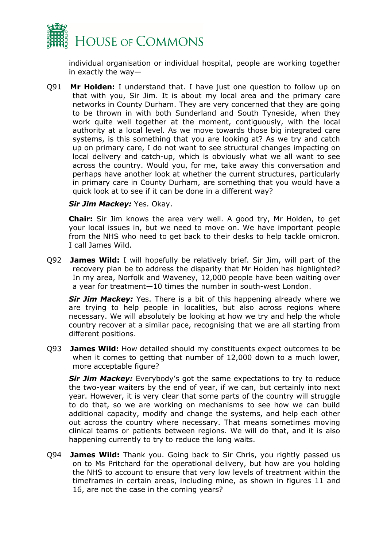

individual organisation or individual hospital, people are working together in exactly the way—

Q91 **Mr Holden:** I understand that. I have just one question to follow up on that with you, Sir Jim. It is about my local area and the primary care networks in County Durham. They are very concerned that they are going to be thrown in with both Sunderland and South Tyneside, when they work quite well together at the moment, contiguously, with the local authority at a local level. As we move towards those big integrated care systems, is this something that you are looking at? As we try and catch up on primary care, I do not want to see structural changes impacting on local delivery and catch-up, which is obviously what we all want to see across the country. Would you, for me, take away this conversation and perhaps have another look at whether the current structures, particularly in primary care in County Durham, are something that you would have a quick look at to see if it can be done in a different way?

## *Sir Jim Mackey:* Yes. Okay.

**Chair:** Sir Jim knows the area very well. A good try, Mr Holden, to get your local issues in, but we need to move on. We have important people from the NHS who need to get back to their desks to help tackle omicron. I call James Wild.

Q92 **James Wild:** I will hopefully be relatively brief. Sir Jim, will part of the recovery plan be to address the disparity that Mr Holden has highlighted? In my area, Norfolk and Waveney, 12,000 people have been waiting over a year for treatment—10 times the number in south-west London.

**Sir Jim Mackey:** Yes. There is a bit of this happening already where we are trying to help people in localities, but also across regions where necessary. We will absolutely be looking at how we try and help the whole country recover at a similar pace, recognising that we are all starting from different positions.

Q93 **James Wild:** How detailed should my constituents expect outcomes to be when it comes to getting that number of 12,000 down to a much lower, more acceptable figure?

*Sir Jim Mackey:* Everybody's got the same expectations to try to reduce the two-year waiters by the end of year, if we can, but certainly into next year. However, it is very clear that some parts of the country will struggle to do that, so we are working on mechanisms to see how we can build additional capacity, modify and change the systems, and help each other out across the country where necessary. That means sometimes moving clinical teams or patients between regions. We will do that, and it is also happening currently to try to reduce the long waits.

Q94 **James Wild:** Thank you. Going back to Sir Chris, you rightly passed us on to Ms Pritchard for the operational delivery, but how are you holding the NHS to account to ensure that very low levels of treatment within the timeframes in certain areas, including mine, as shown in figures 11 and 16, are not the case in the coming years?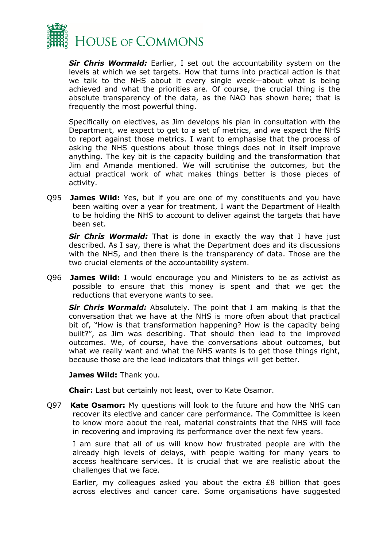

*Sir Chris Wormald:* Earlier, I set out the accountability system on the levels at which we set targets. How that turns into practical action is that we talk to the NHS about it every single week—about what is being achieved and what the priorities are. Of course, the crucial thing is the absolute transparency of the data, as the NAO has shown here; that is frequently the most powerful thing.

Specifically on electives, as Jim develops his plan in consultation with the Department, we expect to get to a set of metrics, and we expect the NHS to report against those metrics. I want to emphasise that the process of asking the NHS questions about those things does not in itself improve anything. The key bit is the capacity building and the transformation that Jim and Amanda mentioned. We will scrutinise the outcomes, but the actual practical work of what makes things better is those pieces of activity.

Q95 **James Wild:** Yes, but if you are one of my constituents and you have been waiting over a year for treatment, I want the Department of Health to be holding the NHS to account to deliver against the targets that have been set.

**Sir Chris Wormald:** That is done in exactly the way that I have just described. As I say, there is what the Department does and its discussions with the NHS, and then there is the transparency of data. Those are the two crucial elements of the accountability system.

Q96 **James Wild:** I would encourage you and Ministers to be as activist as possible to ensure that this money is spent and that we get the reductions that everyone wants to see.

*Sir Chris Wormald:* Absolutely. The point that I am making is that the conversation that we have at the NHS is more often about that practical bit of, "How is that transformation happening? How is the capacity being built?", as Jim was describing. That should then lead to the improved outcomes. We, of course, have the conversations about outcomes, but what we really want and what the NHS wants is to get those things right, because those are the lead indicators that things will get better.

**James Wild:** Thank you.

**Chair:** Last but certainly not least, over to Kate Osamor.

Q97 **Kate Osamor:** My questions will look to the future and how the NHS can recover its elective and cancer care performance. The Committee is keen to know more about the real, material constraints that the NHS will face in recovering and improving its performance over the next few years.

I am sure that all of us will know how frustrated people are with the already high levels of delays, with people waiting for many years to access healthcare services. It is crucial that we are realistic about the challenges that we face.

Earlier, my colleagues asked you about the extra £8 billion that goes across electives and cancer care. Some organisations have suggested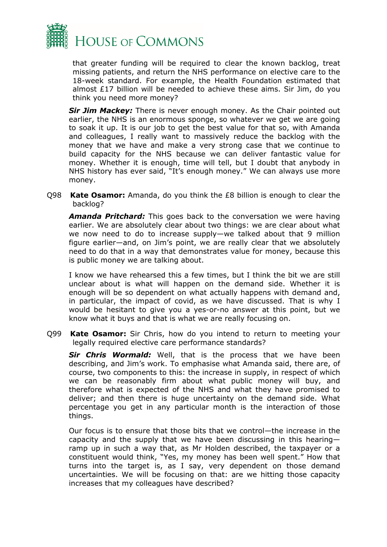

that greater funding will be required to clear the known backlog, treat missing patients, and return the NHS performance on elective care to the 18-week standard. For example, the Health Foundation estimated that almost £17 billion will be needed to achieve these aims. Sir Jim, do you think you need more money?

*Sir Jim Mackey:* There is never enough money. As the Chair pointed out earlier, the NHS is an enormous sponge, so whatever we get we are going to soak it up. It is our job to get the best value for that so, with Amanda and colleagues, I really want to massively reduce the backlog with the money that we have and make a very strong case that we continue to build capacity for the NHS because we can deliver fantastic value for money. Whether it is enough, time will tell, but I doubt that anybody in NHS history has ever said, "It's enough money." We can always use more money.

Q98 **Kate Osamor:** Amanda, do you think the £8 billion is enough to clear the backlog?

*Amanda Pritchard:* This goes back to the conversation we were having earlier. We are absolutely clear about two things: we are clear about what we now need to do to increase supply—we talked about that 9 million figure earlier—and, on Jim's point, we are really clear that we absolutely need to do that in a way that demonstrates value for money, because this is public money we are talking about.

I know we have rehearsed this a few times, but I think the bit we are still unclear about is what will happen on the demand side. Whether it is enough will be so dependent on what actually happens with demand and, in particular, the impact of covid, as we have discussed. That is why I would be hesitant to give you a yes-or-no answer at this point, but we know what it buys and that is what we are really focusing on.

Q99 **Kate Osamor:** Sir Chris, how do you intend to return to meeting your legally required elective care performance standards?

*Sir Chris Wormald:* Well, that is the process that we have been describing, and Jim's work. To emphasise what Amanda said, there are, of course, two components to this: the increase in supply, in respect of which we can be reasonably firm about what public money will buy, and therefore what is expected of the NHS and what they have promised to deliver; and then there is huge uncertainty on the demand side. What percentage you get in any particular month is the interaction of those things.

Our focus is to ensure that those bits that we control—the increase in the capacity and the supply that we have been discussing in this hearing ramp up in such a way that, as Mr Holden described, the taxpayer or a constituent would think, "Yes, my money has been well spent." How that turns into the target is, as I say, very dependent on those demand uncertainties. We will be focusing on that: are we hitting those capacity increases that my colleagues have described?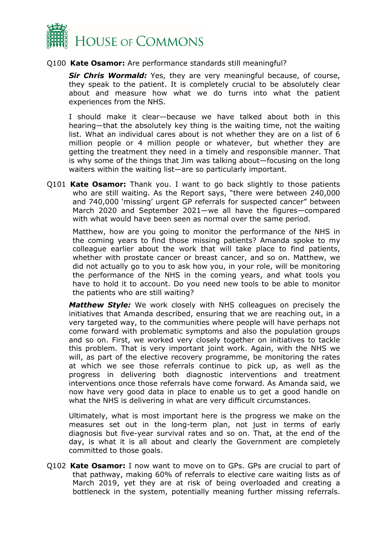

## Q100 **Kate Osamor:** Are performance standards still meaningful?

**Sir Chris Wormald:** Yes, they are very meaningful because, of course, they speak to the patient. It is completely crucial to be absolutely clear about and measure how what we do turns into what the patient experiences from the NHS.

I should make it clear—because we have talked about both in this hearing—that the absolutely key thing is the waiting time, not the waiting list. What an individual cares about is not whether they are on a list of 6 million people or 4 million people or whatever, but whether they are getting the treatment they need in a timely and responsible manner. That is why some of the things that Jim was talking about—focusing on the long waiters within the waiting list—are so particularly important.

Q101 **Kate Osamor:** Thank you. I want to go back slightly to those patients who are still waiting. As the Report says, "there were between 240,000 and 740,000 'missing' urgent GP referrals for suspected cancer" between March 2020 and September 2021—we all have the figures—compared with what would have been seen as normal over the same period.

Matthew, how are you going to monitor the performance of the NHS in the coming years to find those missing patients? Amanda spoke to my colleague earlier about the work that will take place to find patients, whether with prostate cancer or breast cancer, and so on. Matthew, we did not actually go to you to ask how you, in your role, will be monitoring the performance of the NHS in the coming years, and what tools you have to hold it to account. Do you need new tools to be able to monitor the patients who are still waiting?

*Matthew Style:* We work closely with NHS colleagues on precisely the initiatives that Amanda described, ensuring that we are reaching out, in a very targeted way, to the communities where people will have perhaps not come forward with problematic symptoms and also the population groups and so on. First, we worked very closely together on initiatives to tackle this problem. That is very important joint work. Again, with the NHS we will, as part of the elective recovery programme, be monitoring the rates at which we see those referrals continue to pick up, as well as the progress in delivering both diagnostic interventions and treatment interventions once those referrals have come forward. As Amanda said, we now have very good data in place to enable us to get a good handle on what the NHS is delivering in what are very difficult circumstances.

Ultimately, what is most important here is the progress we make on the measures set out in the long-term plan, not just in terms of early diagnosis but five-year survival rates and so on. That, at the end of the day, is what it is all about and clearly the Government are completely committed to those goals.

Q102 **Kate Osamor:** I now want to move on to GPs. GPs are crucial to part of that pathway, making 60% of referrals to elective care waiting lists as of March 2019, yet they are at risk of being overloaded and creating a bottleneck in the system, potentially meaning further missing referrals.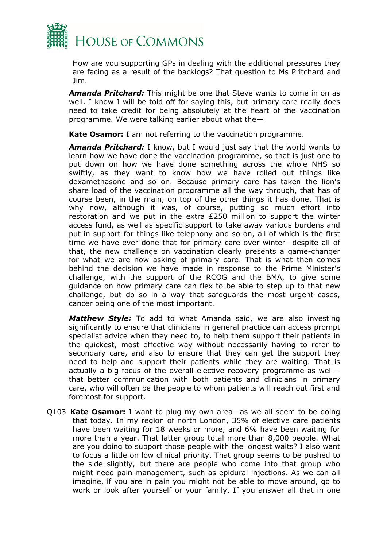

How are you supporting GPs in dealing with the additional pressures they are facing as a result of the backlogs? That question to Ms Pritchard and Jim.

*Amanda Pritchard:* This might be one that Steve wants to come in on as well. I know I will be told off for saying this, but primary care really does need to take credit for being absolutely at the heart of the vaccination programme. We were talking earlier about what the—

**Kate Osamor:** I am not referring to the vaccination programme.

*Amanda Pritchard:* I know, but I would just say that the world wants to learn how we have done the vaccination programme, so that is just one to put down on how we have done something across the whole NHS so swiftly, as they want to know how we have rolled out things like dexamethasone and so on. Because primary care has taken the lion's share load of the vaccination programme all the way through, that has of course been, in the main, on top of the other things it has done. That is why now, although it was, of course, putting so much effort into restoration and we put in the extra £250 million to support the winter access fund, as well as specific support to take away various burdens and put in support for things like telephony and so on, all of which is the first time we have ever done that for primary care over winter—despite all of that, the new challenge on vaccination clearly presents a game-changer for what we are now asking of primary care. That is what then comes behind the decision we have made in response to the Prime Minister's challenge, with the support of the RCOG and the BMA, to give some guidance on how primary care can flex to be able to step up to that new challenge, but do so in a way that safeguards the most urgent cases, cancer being one of the most important.

*Matthew Style:* To add to what Amanda said, we are also investing significantly to ensure that clinicians in general practice can access prompt specialist advice when they need to, to help them support their patients in the quickest, most effective way without necessarily having to refer to secondary care, and also to ensure that they can get the support they need to help and support their patients while they are waiting. That is actually a big focus of the overall elective recovery programme as well that better communication with both patients and clinicians in primary care, who will often be the people to whom patients will reach out first and foremost for support.

Q103 **Kate Osamor:** I want to plug my own area—as we all seem to be doing that today. In my region of north London, 35% of elective care patients have been waiting for 18 weeks or more, and 6% have been waiting for more than a year. That latter group total more than 8,000 people. What are you doing to support those people with the longest waits? I also want to focus a little on low clinical priority. That group seems to be pushed to the side slightly, but there are people who come into that group who might need pain management, such as epidural injections. As we can all imagine, if you are in pain you might not be able to move around, go to work or look after yourself or your family. If you answer all that in one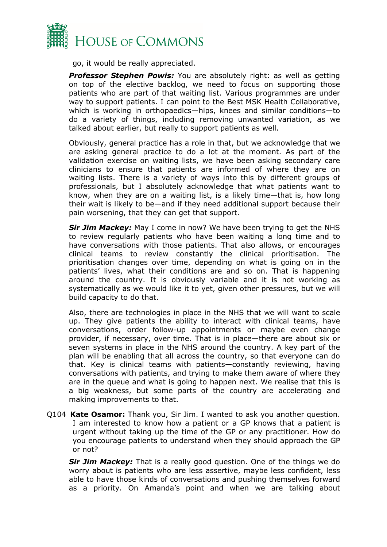

go, it would be really appreciated.

**Professor Stephen Powis:** You are absolutely right: as well as getting on top of the elective backlog, we need to focus on supporting those patients who are part of that waiting list. Various programmes are under way to support patients. I can point to the Best MSK Health Collaborative, which is working in orthopaedics—hips, knees and similar conditions—to do a variety of things, including removing unwanted variation, as we talked about earlier, but really to support patients as well.

Obviously, general practice has a role in that, but we acknowledge that we are asking general practice to do a lot at the moment. As part of the validation exercise on waiting lists, we have been asking secondary care clinicians to ensure that patients are informed of where they are on waiting lists. There is a variety of ways into this by different groups of professionals, but I absolutely acknowledge that what patients want to know, when they are on a waiting list, is a likely time—that is, how long their wait is likely to be—and if they need additional support because their pain worsening, that they can get that support.

*Sir Jim Mackey:* May I come in now? We have been trying to get the NHS to review regularly patients who have been waiting a long time and to have conversations with those patients. That also allows, or encourages clinical teams to review constantly the clinical prioritisation. The prioritisation changes over time, depending on what is going on in the patients' lives, what their conditions are and so on. That is happening around the country. It is obviously variable and it is not working as systematically as we would like it to yet, given other pressures, but we will build capacity to do that.

Also, there are technologies in place in the NHS that we will want to scale up. They give patients the ability to interact with clinical teams, have conversations, order follow-up appointments or maybe even change provider, if necessary, over time. That is in place—there are about six or seven systems in place in the NHS around the country. A key part of the plan will be enabling that all across the country, so that everyone can do that. Key is clinical teams with patients—constantly reviewing, having conversations with patients, and trying to make them aware of where they are in the queue and what is going to happen next. We realise that this is a big weakness, but some parts of the country are accelerating and making improvements to that.

Q104 **Kate Osamor:** Thank you, Sir Jim. I wanted to ask you another question. I am interested to know how a patient or a GP knows that a patient is urgent without taking up the time of the GP or any practitioner. How do you encourage patients to understand when they should approach the GP or not?

**Sir Jim Mackey:** That is a really good question. One of the things we do worry about is patients who are less assertive, maybe less confident, less able to have those kinds of conversations and pushing themselves forward as a priority. On Amanda's point and when we are talking about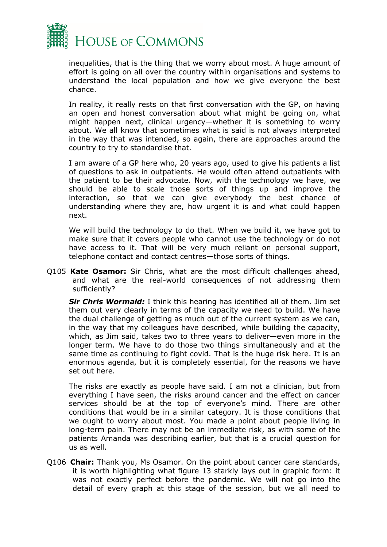

inequalities, that is the thing that we worry about most. A huge amount of effort is going on all over the country within organisations and systems to understand the local population and how we give everyone the best chance.

In reality, it really rests on that first conversation with the GP, on having an open and honest conversation about what might be going on, what might happen next, clinical urgency—whether it is something to worry about. We all know that sometimes what is said is not always interpreted in the way that was intended, so again, there are approaches around the country to try to standardise that.

I am aware of a GP here who, 20 years ago, used to give his patients a list of questions to ask in outpatients. He would often attend outpatients with the patient to be their advocate. Now, with the technology we have, we should be able to scale those sorts of things up and improve the interaction, so that we can give everybody the best chance of understanding where they are, how urgent it is and what could happen next.

We will build the technology to do that. When we build it, we have got to make sure that it covers people who cannot use the technology or do not have access to it. That will be very much reliant on personal support, telephone contact and contact centres—those sorts of things.

Q105 **Kate Osamor:** Sir Chris, what are the most difficult challenges ahead, and what are the real-world consequences of not addressing them sufficiently?

*Sir Chris Wormald:* I think this hearing has identified all of them. Jim set them out very clearly in terms of the capacity we need to build. We have the dual challenge of getting as much out of the current system as we can, in the way that my colleagues have described, while building the capacity, which, as Jim said, takes two to three years to deliver—even more in the longer term. We have to do those two things simultaneously and at the same time as continuing to fight covid. That is the huge risk here. It is an enormous agenda, but it is completely essential, for the reasons we have set out here.

The risks are exactly as people have said. I am not a clinician, but from everything I have seen, the risks around cancer and the effect on cancer services should be at the top of everyone's mind. There are other conditions that would be in a similar category. It is those conditions that we ought to worry about most. You made a point about people living in long-term pain. There may not be an immediate risk, as with some of the patients Amanda was describing earlier, but that is a crucial question for us as well.

Q106 **Chair:** Thank you, Ms Osamor. On the point about cancer care standards, it is worth highlighting what figure 13 starkly lays out in graphic form: it was not exactly perfect before the pandemic. We will not go into the detail of every graph at this stage of the session, but we all need to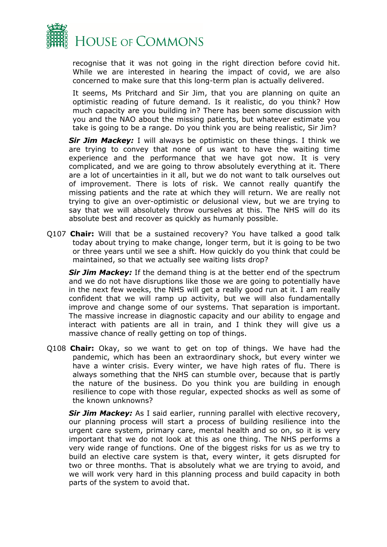

recognise that it was not going in the right direction before covid hit. While we are interested in hearing the impact of covid, we are also concerned to make sure that this long-term plan is actually delivered.

It seems, Ms Pritchard and Sir Jim, that you are planning on quite an optimistic reading of future demand. Is it realistic, do you think? How much capacity are you building in? There has been some discussion with you and the NAO about the missing patients, but whatever estimate you take is going to be a range. Do you think you are being realistic, Sir Jim?

**Sir Jim Mackey:** I will always be optimistic on these things. I think we are trying to convey that none of us want to have the waiting time experience and the performance that we have got now. It is very complicated, and we are going to throw absolutely everything at it. There are a lot of uncertainties in it all, but we do not want to talk ourselves out of improvement. There is lots of risk. We cannot really quantify the missing patients and the rate at which they will return. We are really not trying to give an over-optimistic or delusional view, but we are trying to say that we will absolutely throw ourselves at this. The NHS will do its absolute best and recover as quickly as humanly possible.

Q107 **Chair:** Will that be a sustained recovery? You have talked a good talk today about trying to make change, longer term, but it is going to be two or three years until we see a shift. How quickly do you think that could be maintained, so that we actually see waiting lists drop?

**Sir Jim Mackey:** If the demand thing is at the better end of the spectrum and we do not have disruptions like those we are going to potentially have in the next few weeks, the NHS will get a really good run at it. I am really confident that we will ramp up activity, but we will also fundamentally improve and change some of our systems. That separation is important. The massive increase in diagnostic capacity and our ability to engage and interact with patients are all in train, and I think they will give us a massive chance of really getting on top of things.

Q108 **Chair:** Okay, so we want to get on top of things. We have had the pandemic, which has been an extraordinary shock, but every winter we have a winter crisis. Every winter, we have high rates of flu. There is always something that the NHS can stumble over, because that is partly the nature of the business. Do you think you are building in enough resilience to cope with those regular, expected shocks as well as some of the known unknowns?

**Sir Jim Mackey:** As I said earlier, running parallel with elective recovery, our planning process will start a process of building resilience into the urgent care system, primary care, mental health and so on, so it is very important that we do not look at this as one thing. The NHS performs a very wide range of functions. One of the biggest risks for us as we try to build an elective care system is that, every winter, it gets disrupted for two or three months. That is absolutely what we are trying to avoid, and we will work very hard in this planning process and build capacity in both parts of the system to avoid that.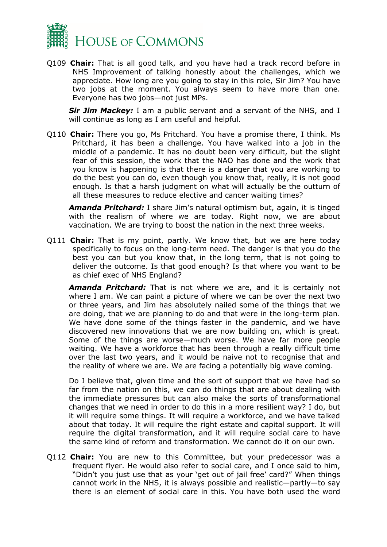

Q109 **Chair:** That is all good talk, and you have had a track record before in NHS Improvement of talking honestly about the challenges, which we appreciate. How long are you going to stay in this role, Sir Jim? You have two jobs at the moment. You always seem to have more than one. Everyone has two jobs—not just MPs.

**Sir Jim Mackey:** I am a public servant and a servant of the NHS, and I will continue as long as I am useful and helpful.

Q110 **Chair:** There you go, Ms Pritchard. You have a promise there, I think. Ms Pritchard, it has been a challenge. You have walked into a job in the middle of a pandemic. It has no doubt been very difficult, but the slight fear of this session, the work that the NAO has done and the work that you know is happening is that there is a danger that you are working to do the best you can do, even though you know that, really, it is not good enough. Is that a harsh judgment on what will actually be the outturn of all these measures to reduce elective and cancer waiting times?

*Amanda Pritchard:* I share Jim's natural optimism but, again, it is tinged with the realism of where we are today. Right now, we are about vaccination. We are trying to boost the nation in the next three weeks.

Q111 **Chair:** That is my point, partly. We know that, but we are here today specifically to focus on the long-term need. The danger is that you do the best you can but you know that, in the long term, that is not going to deliver the outcome. Is that good enough? Is that where you want to be as chief exec of NHS England?

*Amanda Pritchard:* That is not where we are, and it is certainly not where I am. We can paint a picture of where we can be over the next two or three years, and Jim has absolutely nailed some of the things that we are doing, that we are planning to do and that were in the long-term plan. We have done some of the things faster in the pandemic, and we have discovered new innovations that we are now building on, which is great. Some of the things are worse—much worse. We have far more people waiting. We have a workforce that has been through a really difficult time over the last two years, and it would be naive not to recognise that and the reality of where we are. We are facing a potentially big wave coming.

Do I believe that, given time and the sort of support that we have had so far from the nation on this, we can do things that are about dealing with the immediate pressures but can also make the sorts of transformational changes that we need in order to do this in a more resilient way? I do, but it will require some things. It will require a workforce, and we have talked about that today. It will require the right estate and capital support. It will require the digital transformation, and it will require social care to have the same kind of reform and transformation. We cannot do it on our own.

Q112 **Chair:** You are new to this Committee, but your predecessor was a frequent flyer. He would also refer to social care, and I once said to him, "Didn't you just use that as your 'get out of jail free' card?" When things cannot work in the NHS, it is always possible and realistic—partly—to say there is an element of social care in this. You have both used the word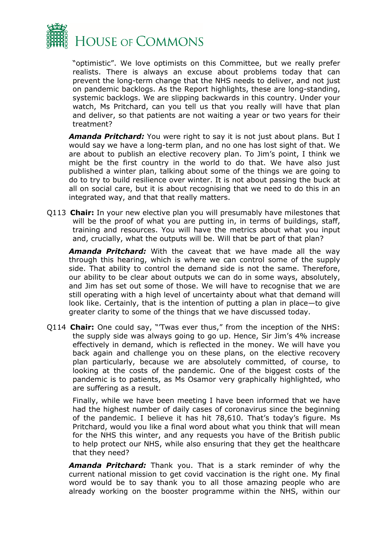

"optimistic". We love optimists on this Committee, but we really prefer realists. There is always an excuse about problems today that can prevent the long-term change that the NHS needs to deliver, and not just on pandemic backlogs. As the Report highlights, these are long-standing, systemic backlogs. We are slipping backwards in this country. Under your watch, Ms Pritchard, can you tell us that you really will have that plan and deliver, so that patients are not waiting a year or two years for their treatment?

*Amanda Pritchard:* You were right to say it is not just about plans. But I would say we have a long-term plan, and no one has lost sight of that. We are about to publish an elective recovery plan. To Jim's point, I think we might be the first country in the world to do that. We have also just published a winter plan, talking about some of the things we are going to do to try to build resilience over winter. It is not about passing the buck at all on social care, but it is about recognising that we need to do this in an integrated way, and that that really matters.

Q113 **Chair:** In your new elective plan you will presumably have milestones that will be the proof of what you are putting in, in terms of buildings, staff, training and resources. You will have the metrics about what you input and, crucially, what the outputs will be. Will that be part of that plan?

*Amanda Pritchard:* With the caveat that we have made all the way through this hearing, which is where we can control some of the supply side. That ability to control the demand side is not the same. Therefore, our ability to be clear about outputs we can do in some ways, absolutely, and Jim has set out some of those. We will have to recognise that we are still operating with a high level of uncertainty about what that demand will look like. Certainly, that is the intention of putting a plan in place—to give greater clarity to some of the things that we have discussed today.

Q114 **Chair:** One could say, "'Twas ever thus," from the inception of the NHS: the supply side was always going to go up. Hence, Sir Jim's 4% increase effectively in demand, which is reflected in the money. We will have you back again and challenge you on these plans, on the elective recovery plan particularly, because we are absolutely committed, of course, to looking at the costs of the pandemic. One of the biggest costs of the pandemic is to patients, as Ms Osamor very graphically highlighted, who are suffering as a result.

Finally, while we have been meeting I have been informed that we have had the highest number of daily cases of coronavirus since the beginning of the pandemic. I believe it has hit 78,610. That's today's figure. Ms Pritchard, would you like a final word about what you think that will mean for the NHS this winter, and any requests you have of the British public to help protect our NHS, while also ensuring that they get the healthcare that they need?

*Amanda Pritchard:* Thank you. That is a stark reminder of why the current national mission to get covid vaccination is the right one. My final word would be to say thank you to all those amazing people who are already working on the booster programme within the NHS, within our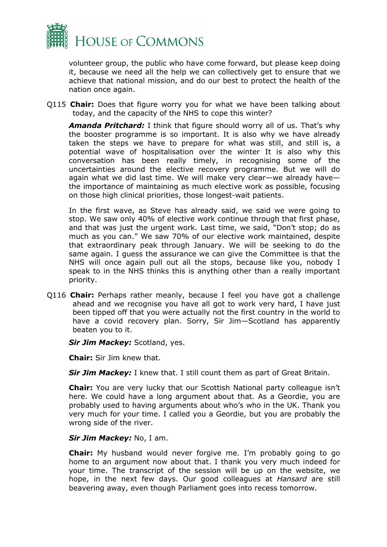

volunteer group, the public who have come forward, but please keep doing it, because we need all the help we can collectively get to ensure that we achieve that national mission, and do our best to protect the health of the nation once again.

Q115 **Chair:** Does that figure worry you for what we have been talking about today, and the capacity of the NHS to cope this winter?

*Amanda Pritchard:* I think that figure should worry all of us. That's why the booster programme is so important. It is also why we have already taken the steps we have to prepare for what was still, and still is, a potential wave of hospitalisation over the winter It is also why this conversation has been really timely, in recognising some of the uncertainties around the elective recovery programme. But we will do again what we did last time. We will make very clear—we already have the importance of maintaining as much elective work as possible, focusing on those high clinical priorities, those longest-wait patients.

In the first wave, as Steve has already said, we said we were going to stop. We saw only 40% of elective work continue through that first phase, and that was just the urgent work. Last time, we said, "Don't stop; do as much as you can." We saw 70% of our elective work maintained, despite that extraordinary peak through January. We will be seeking to do the same again. I guess the assurance we can give the Committee is that the NHS will once again pull out all the stops, because like you, nobody I speak to in the NHS thinks this is anything other than a really important priority.

Q116 **Chair:** Perhaps rather meanly, because I feel you have got a challenge ahead and we recognise you have all got to work very hard, I have just been tipped off that you were actually not the first country in the world to have a covid recovery plan. Sorry, Sir Jim—Scotland has apparently beaten you to it.

**Sir Jim Mackey: Scotland, yes.** 

**Chair:** Sir Jim knew that.

**Sir Jim Mackey:** I knew that. I still count them as part of Great Britain.

**Chair:** You are very lucky that our Scottish National party colleague isn't here. We could have a long argument about that. As a Geordie, you are probably used to having arguments about who's who in the UK. Thank you very much for your time. I called you a Geordie, but you are probably the wrong side of the river.

## *Sir Jim Mackey:* No, I am.

**Chair:** My husband would never forgive me. I'm probably going to go home to an argument now about that. I thank you very much indeed for your time. The transcript of the session will be up on the website, we hope, in the next few days. Our good colleagues at *Hansard* are still beavering away, even though Parliament goes into recess tomorrow.